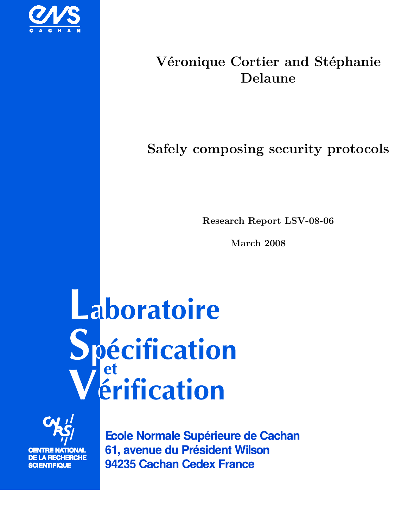

# Véronique Cortier and Stéphanie **Delaune**

# **Safely composing security protocols**

**Research Report LSV-08-06**

**March 2008**

# Laboratoire **Spécification**<br>Verification



Ecole Normale Supérieure de Cachan 61, avenue du Président Wilson 94235 Cachan Cedex France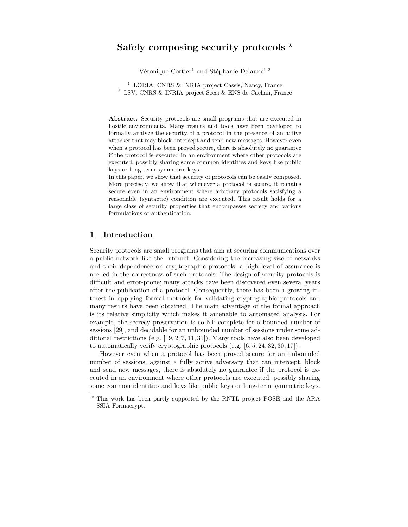# **Safely composing security protocols** *<sup>⋆</sup>*

Véronique Cortier<sup>1</sup> and Stéphanie Delaune<sup>1,2</sup>

<sup>1</sup> LORIA, CNRS  $&$  INRIA project Cassis, Nancy, France  $^2\,$  LSV, CNRS  $\&$  INRIA project Secsi  $\&$  ENS de Cachan, France

**Abstract.** Security protocols are small programs that are executed in hostile environments. Many results and tools have been developed to formally analyze the security of a protocol in the presence of an active attacker that may block, intercept and send new messages. However even when a protocol has been proved secure, there is absolutely no guarantee if the protocol is executed in an environment where other protocols are executed, possibly sharing some common identities and keys like public keys or long-term symmetric keys.

In this paper, we show that security of protocols can be easily composed. More precisely, we show that whenever a protocol is secure, it remains secure even in an environment where arbitrary protocols satisfying a reasonable (syntactic) condition are executed. This result holds for a large class of security properties that encompasses secrecy and various formulations of authentication.

# **1 Introduction**

Security protocols are small programs that aim at securing communications over a public network like the Internet. Considering the increasing size of networks and their dependence on cryptographic protocols, a high level of assurance is needed in the correctness of such protocols. The design of security protocols is difficult and error-prone; many attacks have been discovered even several years after the publication of a protocol. Consequently, there has been a growing interest in applying formal methods for validating cryptographic protocols and many results have been obtained. The main advantage of the formal approach is its relative simplicity which makes it amenable to automated analysis. For example, the secrecy preservation is co-NP-complete for a bounded number of sessions [29], and decidable for an unbounded number of sessions under some additional restrictions (e.g.  $[19, 2, 7, 11, 31]$ ). Many tools have also been developed to automatically verify cryptographic protocols (e.g. [6, 5, 24, 32, 30, 17]).

However even when a protocol has been proved secure for an unbounded number of sessions, against a fully active adversary that can intercept, block and send new messages, there is absolutely no guarantee if the protocol is executed in an environment where other protocols are executed, possibly sharing some common identities and keys like public keys or long-term symmetric keys.

This work has been partly supported by the RNTL project POSÉ and the ARA SSIA Formacrypt.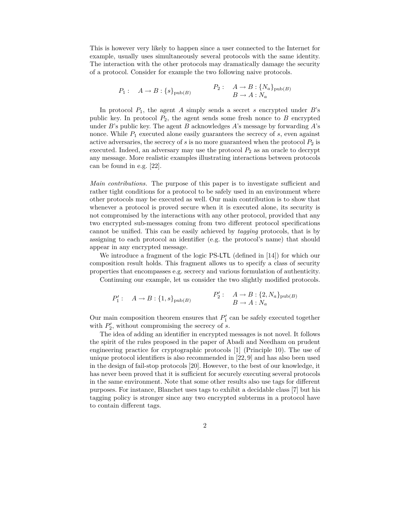This is however very likely to happen since a user connected to the Internet for example, usually uses simultaneously several protocols with the same identity. The interaction with the other protocols may dramatically damage the security of a protocol. Consider for example the two following naive protocols.

$$
P_1: \quad A \to B: \{s\}_{\text{pub}(B)} \qquad \qquad P_2: \quad A \to B: \{N_a\}_{\text{pub}(B)} \qquad \qquad B \to A: N_a
$$

In protocol  $P_1$ , the agent  $\overline{A}$  simply sends a secret  $\overline{s}$  encrypted under  $\overline{B}$ 's public key. In protocol  $P_2$ , the agent sends some fresh nonce to  $B$  encrypted under *B*'s public key. The agent *B* acknowledges *A*'s message by forwarding *A*'s nonce. While  $P_1$  executed alone easily guarantees the secrecy of  $s$ , even against active adversaries, the secrecy of  $s$  is no more guaranteed when the protocol  $P_2$  is executed. Indeed, an adversary may use the protocol  $P_2$  as an oracle to decrypt any message. More realistic examples illustrating interactions between protocols can be found in e.g. [22].

*Main contributions.* The purpose of this paper is to investigate sufficient and rather tight conditions for a protocol to be safely used in an environment where other protocols may be executed as well. Our main contribution is to show that whenever a protocol is proved secure when it is executed alone, its security is not compromised by the interactions with any other protocol, provided that any two encrypted sub-messages coming from two different protocol specifications cannot be unified. This can be easily achieved by *tagging* protocols, that is by assigning to each protocol an identifier (e.g. the protocol's name) that should appear in any encrypted message.

We introduce a fragment of the logic PS-LTL (defined in [14]) for which our composition result holds. This fragment allows us to specify a class of security properties that encompasses e.g. secrecy and various formulation of authenticity.

Continuing our example, let us consider the two slightly modified protocols.

$$
P_1': A \to B: \{1, s\}_{\text{pub}(B)} \qquad P_2': A \to B: \{2, N_a\}_{\text{pub}(B)} B \to A: N_a
$$

Our main composition theorem ensures that  $P'_{1}$  can be safely executed together with  $P'_{2}$ , without compromising the secrecy of *s*.

The idea of adding an identifier in encrypted messages is not novel. It follows the spirit of the rules proposed in the paper of Abadi and Needham on prudent engineering practice for cryptographic protocols [1] (Principle 10). The use of unique protocol identifiers is also recommended in [22, 9] and has also been used in the design of fail-stop protocols [20]. However, to the best of our knowledge, it has never been proved that it is sufficient for securely executing several protocols in the same environment. Note that some other results also use tags for different purposes. For instance, Blanchet uses tags to exhibit a decidable class [7] but his tagging policy is stronger since any two encrypted subterms in a protocol have to contain different tags.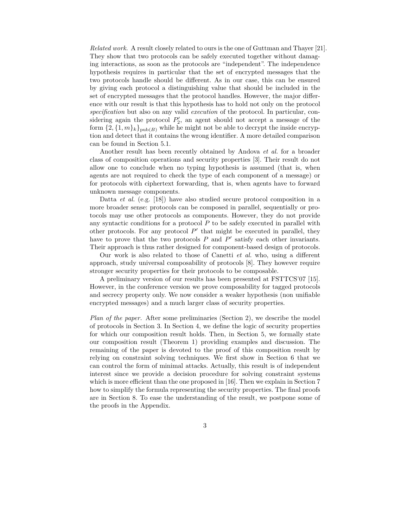*Related work.* A result closely related to ours is the one of Guttman and Thayer [21]. They show that two protocols can be safely executed together without damaging interactions, as soon as the protocols are "independent". The independence hypothesis requires in particular that the set of encrypted messages that the two protocols handle should be different. As in our case, this can be ensured by giving each protocol a distinguishing value that should be included in the set of encrypted messages that the protocol handles. However, the major difference with our result is that this hypothesis has to hold not only on the protocol *specification* but also on any valid *execution* of the protocol. In particular, considering again the protocol  $P'_{2}$ , an agent should not accept a message of the form  $\{2, \{1, m\}_k\}_{\text{pub}(B)}$  while he might not be able to decrypt the inside encryption and detect that it contains the wrong identifier. A more detailed comparison can be found in Section 5.1.

Another result has been recently obtained by Andova *et al.* for a broader class of composition operations and security properties [3]. Their result do not allow one to conclude when no typing hypothesis is assumed (that is, when agents are not required to check the type of each component of a message) or for protocols with ciphertext forwarding, that is, when agents have to forward unknown message components.

Datta *et al.* (e.g. [18]) have also studied secure protocol composition in a more broader sense: protocols can be composed in parallel, sequentially or protocols may use other protocols as components. However, they do not provide any syntactic conditions for a protocol  $P$  to be safely executed in parallel with other protocols. For any protocol *P ′* that might be executed in parallel, they have to prove that the two protocols *P* and *P'* satisfy each other invariants. Their approach is thus rather designed for component-based design of protocols.

Our work is also related to those of Canetti *et al.* who, using a different approach, study universal composability of protocols [8]. They however require stronger security properties for their protocols to be composable.

A preliminary version of our results has been presented at FSTTCS'07 [15]. However, in the conference version we prove composability for tagged protocols and secrecy property only. We now consider a weaker hypothesis (non unifiable encrypted messages) and a much larger class of security properties.

*Plan of the paper.* After some preliminaries (Section 2), we describe the model of protocols in Section 3. In Section 4, we define the logic of security properties for which our composition result holds. Then, in Section 5, we formally state our composition result (Theorem 1) providing examples and discussion. The remaining of the paper is devoted to the proof of this composition result by relying on constraint solving techniques. We first show in Section 6 that we can control the form of minimal attacks. Actually, this result is of independent interest since we provide a decision procedure for solving constraint systems which is more efficient than the one proposed in [16]. Then we explain in Section 7 how to simplify the formula representing the security properties. The final proofs are in Section 8. To ease the understanding of the result, we postpone some of the proofs in the Appendix.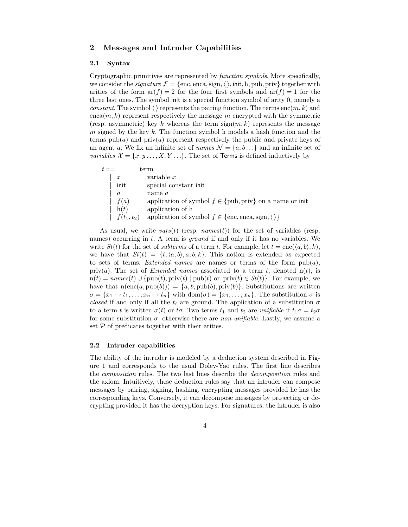# **2 Messages and Intruder Capabilities**

### **2.1 Syntax**

Cryptographic primitives are represented by *function symbols*. More specifically, we consider the *signature*  $\mathcal{F} = \{\text{enc}, \text{enc}, \text{sign}, \langle \rangle, \text{init}, \text{h}, \text{pub}, \text{priv}\}\$ together with arities of the form  $ar(f) = 2$  for the four first symbols and  $ar(f) = 1$  for the three last ones. The symbol init is a special function symbol of arity 0, namely a *constant*. The symbol  $\langle \rangle$  represents the pairing function. The terms enc $(m, k)$  and  $\text{enca}(m, k)$  represent respectively the message m encrypted with the symmetric (resp. asymmetric) key  $k$  whereas the term  $sign(m, k)$  represents the message *m* signed by the key *k*. The function symbol h models a hash function and the terms  $\text{pub}(a)$  and  $\text{priv}(a)$  represent respectively the public and private keys of an agent *a*. We fix an infinite set of *names*  $\mathcal{N} = \{a, b, \ldots\}$  and an infinite set of *variables*  $\mathcal{X} = \{x, y, \dots, X, Y, \dots\}$ . The set of **Terms** is defined inductively by

| $t ::=$ |                  | term                                                                                    |
|---------|------------------|-----------------------------------------------------------------------------------------|
|         | $\boldsymbol{x}$ | variable $x$                                                                            |
|         | init             | special constant init                                                                   |
|         | $\boldsymbol{a}$ | name $a$                                                                                |
|         | f(a)             | application of symbol $f \in \{pub, priv\}$ on a name or init                           |
|         | h(t)             | application of h                                                                        |
|         | $f(t_1, t_2)$    | application of symbol $f \in \{\text{enc}, \text{enca}, \text{sign}, \langle \rangle\}$ |

As usual, we write  $vars(t)$  (resp.  $names(t)$ ) for the set of variables (resp. names) occurring in *t*. A term is *ground* if and only if it has no variables. We write  $St(t)$  for the set of *subterms* of a term *t*. For example, let  $t = \text{enc}(\langle a, b \rangle, k)$ , we have that  $St(t) = \{t, \langle a, b \rangle, a, b, k\}$ . This notion is extended as expected to sets of terms. *Extended names* are names or terms of the form  $\text{pub}(a)$ , priv(*a*). The set of *Extended names* associated to a term *t*, denoted  $n(t)$ , is  $n(t) = names(t) ∪ {pub(t), priv(t) | pub(t) or priv(t) ∈ St(t)}.$  For example, we have that  $n(\text{enc}(a, \text{pub}(b))) = \{a, b, \text{pub}(b), \text{priv}(b)\}\)$ . Substitutions are written  $\sigma = \{x_1 \mapsto t_1, \ldots, x_n \mapsto t_n\}$  with  $dom(\sigma) = \{x_1, \ldots, x_n\}$ . The substitution  $\sigma$  is *closed* if and only if all the  $t_i$  are ground. The application of a substitution  $\sigma$ to a term *t* is written  $\sigma(t)$  or  $t\sigma$ . Two terms  $t_1$  and  $t_2$  are *unifiable* if  $t_1\sigma = t_2\sigma$ for some substitution  $\sigma$ , otherwise there are *non-unifiable*. Lastly, we assume a set  $P$  of predicates together with their arities.

#### **2.2 Intruder capabilities**

The ability of the intruder is modeled by a deduction system described in Figure 1 and corresponds to the usual Dolev-Yao rules. The first line describes the *composition* rules. The two last lines describe the *decomposition* rules and the axiom. Intuitively, these deduction rules say that an intruder can compose messages by pairing, signing, hashing, encrypting messages provided he has the corresponding keys. Conversely, it can decompose messages by projecting or decrypting provided it has the decryption keys. For signatures, the intruder is also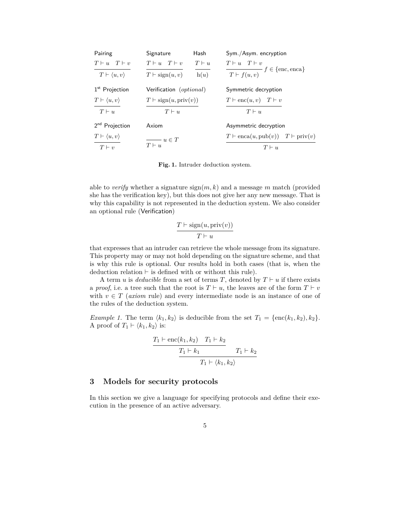| Pairing                         | Signature                          | Hash         | Sym./Asym. encryption                                               |  |
|---------------------------------|------------------------------------|--------------|---------------------------------------------------------------------|--|
| $T \vdash u \quad T \vdash v$   | $T \vdash u \quad T \vdash v$      | $T \vdash u$ | $T \vdash u \quad T \vdash v$                                       |  |
| $T \vdash \langle u, v \rangle$ | $T \vdash \text{sign}(u, v)$       | h(u)         | $\overline{T \vdash f(u, v)}\, f \in \{\text{enc}, \text{enca}\}\,$ |  |
| 1 <sup>st</sup> Projection      | Verification (optional)            |              | Symmetric decryption                                                |  |
| $T \vdash \langle u, v \rangle$ | $T \vdash sign(u, \text{priv}(v))$ |              | $T \vdash \text{enc}(u, v)$ $T \vdash v$                            |  |
| $T \vdash u$                    | $T\vdash u$                        |              | $T \vdash u$                                                        |  |
| 2 <sup>nd</sup> Projection      | Axiom                              |              | Asymmetric decryption                                               |  |
| $T \vdash \langle u, v \rangle$ | $-\hspace{-2.1em}- u\in T$         |              | $T \vdash \text{enca}(u, \text{pub}(v))$ $T \vdash \text{priv}(v)$  |  |
| $T \vdash u$<br>$T \vdash v$    |                                    |              | $T \vdash u$                                                        |  |

**Fig. 1.** Intruder deduction system.

able to *verify* whether a signature  $sign(m, k)$  and a message m match (provided she has the verification key), but this does not give her any new message. That is why this capability is not represented in the deduction system. We also consider an optional rule (Verification)

$$
\frac{T \vdash \text{sign}(u, \text{priv}(v))}{T \vdash u}
$$

that expresses that an intruder can retrieve the whole message from its signature. This property may or may not hold depending on the signature scheme, and that is why this rule is optional. Our results hold in both cases (that is, when the deduction relation *⊢* is defined with or without this rule).

A term *u* is *deducible* from a set of terms *T*, denoted by  $T \vdash u$  if there exists a *proof*, i.e. a tree such that the root is  $T \vdash u$ , the leaves are of the form  $T \vdash v$ with  $v \in T$  (*axiom* rule) and every intermediate node is an instance of one of the rules of the deduction system.

*Example 1.* The term  $\langle k_1, k_2 \rangle$  is deducible from the set  $T_1 = \{\text{enc}(k_1, k_2), k_2\}$ . A proof of  $T_1 \vdash \langle k_1, k_2 \rangle$  is:

$$
\frac{T_1 \vdash \text{enc}(k_1, k_2) \quad T_1 \vdash k_2}{T_1 \vdash k_1} \qquad \qquad T_1 \vdash k_2
$$

$$
T_1 \vdash \langle k_1, k_2 \rangle
$$

# **3 Models for security protocols**

In this section we give a language for specifying protocols and define their execution in the presence of an active adversary.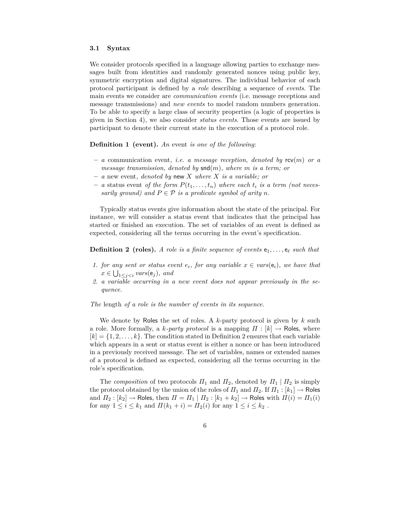#### **3.1 Syntax**

We consider protocols specified in a language allowing parties to exchange messages built from identities and randomly generated nonces using public key, symmetric encryption and digital signatures. The individual behavior of each protocol participant is defined by a *role* describing a sequence of *events*. The main events we consider are *communication events* (i.e. message receptions and message transmissions) and *new events* to model random numbers generation. To be able to specify a large class of security properties (a logic of properties is given in Section 4), we also consider *status events*. Those events are issued by participant to denote their current state in the execution of a protocol role.

**Definition 1 (event).** *An* event *is one of the following:*

- **–** *a* communication event*, i.e. a message reception, denoted by* rcv(*m*) *or a message transmission, denoted by* snd(*m*)*, where m is a term; or*
- **–** *a* new event*, denoted by* new *X where X is a variable; or*
- $-$  *a* status event *of the form*  $P(t_1, \ldots, t_n)$  *where each*  $t_i$  *is a term (not necessarily ground) and*  $P \in \mathcal{P}$  *is a predicate symbol of arity n.*

Typically status events give information about the state of the principal. For instance, we will consider a status event that indicates that the principal has started or finished an execution. The set of variables of an event is defined as expected, considering all the terms occurring in the event's specification.

**Definition 2 (roles).** *A role is a finite sequence of events* e1*, . . . ,* e*<sup>ℓ</sup> such that*

- *1. for any sent or status event*  $e_i$ , *for any variable*  $x \in vars(e_i)$ *, we have that*  $x \in \bigcup_{1 \leq j < i} vars(e_j)$ *, and*
- *2. a variable occurring in a new event does not appear previously in the sequence.*

*The* length *of a role is the number of events in its sequence.*

We denote by Roles the set of roles. A *k*-party protocol is given by *k* such a role. More formally, a *k-party protocol* is a mapping  $\Pi : [k] \rightarrow$  Roles, where  $[k] = \{1, 2, \ldots, k\}$ . The condition stated in Definition 2 ensures that each variable which appears in a sent or status event is either a nonce or has been introduced in a previously received message. The set of variables, names or extended names of a protocol is defined as expected, considering all the terms occurring in the role's specification.

The *composition* of two protocols  $\Pi_1$  and  $\Pi_2$ , denoted by  $\Pi_1 \mid \Pi_2$  is simply the protocol obtained by the union of the roles of  $\Pi_1$  and  $\Pi_2$ . If  $\Pi_1 : [k_1] \to \mathsf{Roles}$ and  $\Pi_2 : [k_2] \to \text{Roles}, \text{ then } \Pi = \Pi_1 | \Pi_2 : [k_1 + k_2] \to \text{Roles with } \Pi(i) = \Pi_1(i)$ for any  $1 \le i \le k_1$  and  $\Pi(k_1 + i) = \Pi_2(i)$  for any  $1 \le i \le k_2$ .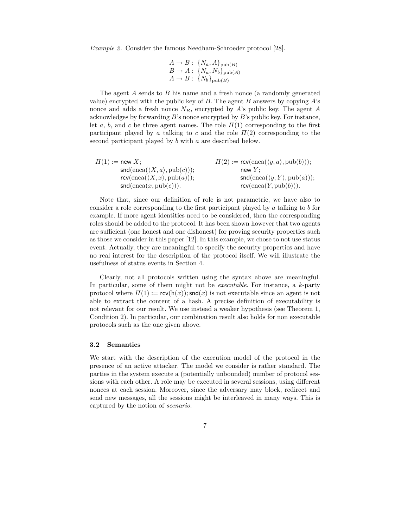*Example 2.* Consider the famous Needham-Schroeder protocol [28].

$$
A \rightarrow B: \{N_a, A\}_{\text{pub}(B)}
$$
  

$$
B \rightarrow A: \{N_a, N_b\}_{\text{pub}(A)}
$$
  

$$
A \rightarrow B: \{N_b\}_{\text{pub}(B)}
$$

The agent *A* sends to *B* his name and a fresh nonce (a randomly generated value) encrypted with the public key of *B*. The agent *B* answers by copying *A*'s nonce and adds a fresh nonce *NB*, encrypted by *A*'s public key. The agent *A* acknowledges by forwarding *B*'s nonce encrypted by *B*'s public key. For instance, let *a*, *b*, and *c* be three agent names. The role  $\Pi(1)$  corresponding to the first participant played by *a* talking to *c* and the role  $\Pi(2)$  corresponding to the second participant played by *b* with *a* are described below.

| $\Pi(1) := \text{new } X;$                                             | $\Pi(2) := \text{rcv}(\text{enca}(\langle y, a \rangle, \text{pub}(b)))$ ; |  |
|------------------------------------------------------------------------|----------------------------------------------------------------------------|--|
| $\mathsf{snd}(\mathsf{enca}(\langle X, a \rangle, \mathsf{pub}(c)))$ ; | new $Y:$                                                                   |  |
| $rcv(enca(\langle X, x \rangle, \text{pub}(a)));$                      | $\mathsf{snd}(\text{enca}(\langle y, Y \rangle, \text{pub}(a)))$ ;         |  |
| $\mathsf{snd}(\text{enca}(x, \text{pub}(c)))$ .                        | rcv(enca(Y, pub(b))).                                                      |  |

Note that, since our definition of role is not parametric, we have also to consider a role corresponding to the first participant played by *a* talking to *b* for example. If more agent identities need to be considered, then the corresponding roles should be added to the protocol. It has been shown however that two agents are sufficient (one honest and one dishonest) for proving security properties such as those we consider in this paper [12]. In this example, we chose to not use status event. Actually, they are meaningful to specify the security properties and have no real interest for the description of the protocol itself. We will illustrate the usefulness of status events in Section 4.

Clearly, not all protocols written using the syntax above are meaningful. In particular, some of them might not be *executable*. For instance, a *k*-party protocol where  $\Pi(1) := \text{rcv}(h(x));$  snd(*x*) is not executable since an agent is not able to extract the content of a hash. A precise definition of executability is not relevant for our result. We use instead a weaker hypothesis (see Theorem 1, Condition 2). In particular, our combination result also holds for non executable protocols such as the one given above.

# **3.2 Semantics**

We start with the description of the execution model of the protocol in the presence of an active attacker. The model we consider is rather standard. The parties in the system execute a (potentially unbounded) number of protocol sessions with each other. A role may be executed in several sessions, using different nonces at each session. Moreover, since the adversary may block, redirect and send new messages, all the sessions might be interleaved in many ways. This is captured by the notion of *scenario*.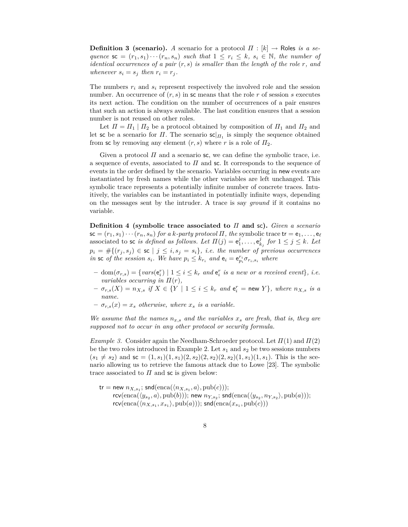**Definition 3 (scenario).** *A* scenario for a protocol  $\Pi : [k] \rightarrow \text{Roles}$  *is a sequence*  $\mathsf{sc} = (r_1, s_1) \cdots (r_n, s_n)$  *such that*  $1 \leq r_i \leq k$ ,  $s_i \in \mathbb{N}$ , the number of *identical occurrences of a pair* (*r, s*) *is smaller than the length of the role r, and whenever*  $s_i = s_j$  *then*  $r_i = r_j$ *.* 

The numbers  $r_i$  and  $s_i$  represent respectively the involved role and the session number. An occurrence of  $(r, s)$  in sc means that the role r of session *s* executes its next action. The condition on the number of occurrences of a pair ensures that such an action is always available. The last condition ensures that a session number is not reused on other roles.

Let  $\Pi = \Pi_1 | \Pi_2$  be a protocol obtained by composition of  $\Pi_1$  and  $\Pi_2$  and let sc be a scenario for *Π*. The scenario  $\mathsf{sc}|_{\Pi_1}$  is simply the sequence obtained from sc by removing any element  $(r, s)$  where  $r$  is a role of  $\Pi_2$ .

Given a protocol  $\Pi$  and a scenario sc, we can define the symbolic trace, i.e. a sequence of events, associated to *Π* and sc. It corresponds to the sequence of events in the order defined by the scenario. Variables occurring in new events are instantiated by fresh names while the other variables are left unchanged. This symbolic trace represents a potentially infinite number of concrete traces. Intuitively, the variables can be instantiated in potentially infinite ways, depending on the messages sent by the intruder. A trace is say *ground* if it contains no variable.

**Definition 4 (symbolic trace associated to** *Π* **and** sc**).** *Given a scenario*  $\mathbf{s} = (r_1, s_1) \cdots (r_n, s_n)$  *for a k-party protocol*  $\Pi$ *, the symbolic trace tr* =  $\mathbf{e}_1, \ldots, \mathbf{e}_\ell$ associated to so *is defined as follows. Let*  $\Pi(j) = e_1^j, \ldots, e_{k_j}^j$  for  $1 \leq j \leq k$ . Let  $p_i = #\{(r_j, s_j) \in \textbf{sc} \mid j \leq i, s_j = s_i\}, i.e.$  the number of previous occurrences in sc of the session  $s_i$ . We have  $p_i \leq k_{r_i}$  and  $e_i = e_{p_i}^{r_i} \sigma_{r_i, s_i}$  where

- $-$  dom $(\sigma_{r,s}) = \{vars(\mathbf{e}_i^r) \mid 1 \leq i \leq k_r \text{ and } \mathbf{e}_i^r \text{ is a new or a received event}\}, i.e.$ *variables occurring in*  $\Pi(r)$ ,
- $\sigma_{r,s}(X) = n_{X,s}$  if  $X \in \{Y \mid 1 \leq i \leq k_r \text{ and } e_i^r = \text{new } Y\}$ , where  $n_{X,s}$  is a *name.*
- $-\sigma_{r,s}(x) = x_s$  *otherwise, where*  $x_s$  *is a variable.*

We assume that the names  $n_{x,s}$  and the variables  $x_s$  are fresh, that is, they are *supposed not to occur in any other protocol or security formula.*

*Example 3.* Consider again the Needham-Schroeder protocol. Let  $\Pi(1)$  and  $\Pi(2)$ be the two roles introduced in Example 2. Let *s*<sup>1</sup> and *s*<sup>2</sup> be two sessions numbers  $(s_1 \neq s_2)$  and  $\mathsf{sc} = (1, s_1)(1, s_1)(2, s_2)(2, s_2)(2, s_2)(1, s_1)(1, s_1)$ . This is the scenario allowing us to retrieve the famous attack due to Lowe [23]. The symbolic trace associated to  $\Pi$  and sc is given below:

 $\mathsf{tr} = \mathsf{new} \ n_{X, s_1}; \ \mathsf{snd}(\text{enca}(\langle n_{X, s_1}, a \rangle, \text{pub}(c)));$  $\textsf{rcv}(\text{enca}(\langle y_{s_2},a\rangle,\text{pub}(b)));$  new  $n_{Y,s_2};$   $\textsf{snd}(\text{enca}(\langle y_{s_2},n_{Y,s_2}\rangle,\text{pub}(a)));$  $\mathsf{rcv}(\text{enca}(\langle n_{X,s_1}, x_{s_1}\rangle, \text{pub}(a)))$ ;  $\mathsf{snd}(\text{enca}(x_{s_1}, \text{pub}(c)))$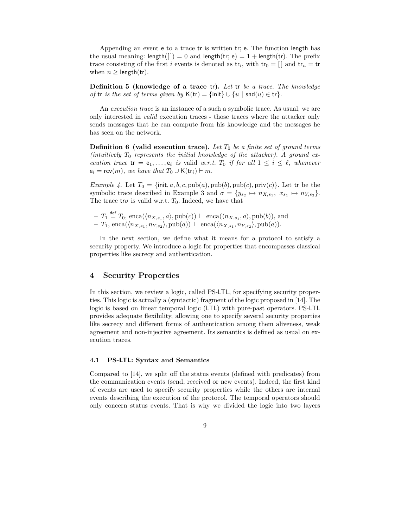Appending an event e to a trace tr is written tr; e. The function length has the usual meaning:  $length($ ] = 0 and length(tr; e) = 1 + length(tr). The prefix trace consisting of the first *i* events is denoted as  $\mathsf{tr}_i$ , with  $\mathsf{tr}_0 = [$  and  $\mathsf{tr}_n = \mathsf{tr}$ when  $n \geq$  length(tr).

**Definition 5 (knowledge of a trace** tr**).** *Let* tr *be a trace. The knowledge of* tr *is the set of terms given by*  $K(tr) = \{init\} \cup \{u \mid \text{snd}(u) \in tr\}.$ 

An *execution trace* is an instance of a such a symbolic trace. As usual, we are only interested in *valid* execution traces - those traces where the attacker only sends messages that he can compute from his knowledge and the messages he has seen on the network.

**Definition 6 (valid execution trace).** *Let T*<sup>0</sup> *be a finite set of ground terms* (intuitively  $T_0$  represents the initial knowledge of the attacker). A ground ex*ecution trace*  $\mathsf{tr} = \mathsf{e}_1, \ldots, \mathsf{e}_{\ell}$  *is* valid *w.r.t.*  $T_0$  *if for all*  $1 \leq i \leq \ell$ *, whenever*  $e_i = rev(m)$ *, we have that*  $T_0 \cup K(tr_i) \vdash m$ *.* 

*Example 4.* Let  $T_0 = \{\text{init}, a, b, c, \text{pub}(a), \text{pub}(b), \text{pub}(c), \text{priv}(c)\}.$  Let tr be the symbolic trace described in Example 3 and  $\sigma = \{y_{s_2} \mapsto n_{X,s_1}, x_{s_1} \mapsto n_{Y,s_2}\}.$ The trace tr $\sigma$  is valid w.r.t.  $T_0$ . Indeed, we have that

 $-T_1 \stackrel{\text{def}}{=} T_0$ , enca( $\langle n_{X,s_1}, a \rangle$ , pub $(c)$ )  $⊢$  enca( $\langle n_{X,s_1}, a \rangle$ , pub $(b)$ ), and  $- T_1$ , enca( $\langle n_{X,s_1}, n_{Y,s_2} \rangle$ , pub(*a*))  $\vdash$  enca( $\langle n_{X,s_1}, n_{Y,s_2} \rangle$ , pub(*a*)).

In the next section, we define what it means for a protocol to satisfy a security property. We introduce a logic for properties that encompasses classical properties like secrecy and authentication.

# **4 Security Properties**

In this section, we review a logic, called PS-LTL, for specifying security properties. This logic is actually a (syntactic) fragment of the logic proposed in [14]. The logic is based on linear temporal logic (LTL) with pure-past operators. PS-LTL provides adequate flexibility, allowing one to specify several security properties like secrecy and different forms of authentication among them aliveness, weak agreement and non-injective agreement. Its semantics is defined as usual on execution traces.

#### **4.1 PS-LTL: Syntax and Semantics**

Compared to [14], we split off the status events (defined with predicates) from the communication events (send, received or new events). Indeed, the first kind of events are used to specify security properties while the others are internal events describing the execution of the protocol. The temporal operators should only concern status events. That is why we divided the logic into two layers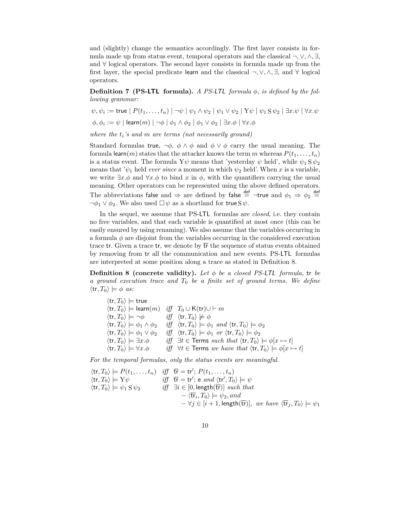and (slightly) change the semantics accordingly. The first layer consists in formula made up from status event, temporal operators and the classical  $\neg$ ,  $\neg$ ,  $\wedge$ ,  $\wedge$ ,  $\exists$ , and *∀* logical operators. The second layer consists in formula made up from the first layer, the special predicate learn and the classical  $\neg$ ,  $\vee$ ,  $\wedge$ ,  $\exists$ , and  $\forall$  logical operators.

**Definition 7 (PS-LTL formula).** *A PS-LTL formula*  $\phi$ *, is defined by the following grammar:*

$$
\psi, \psi_i := \text{true} \mid P(t_1, \dots, t_n) \mid \neg \psi \mid \psi_1 \land \psi_2 \mid \psi_1 \lor \psi_2 \mid Y\psi \mid \psi_1 \land \psi_2 \mid \exists x. \psi \mid \forall x. \psi
$$
  

$$
\phi, \phi_i := \psi \mid \text{learn}(m) \mid \neg \phi \mid \phi_1 \land \phi_2 \mid \phi_1 \lor \phi_2 \mid \exists x. \phi \mid \forall x. \phi
$$

*where the ti's and m are terms (not necessarily ground)*

Standard formulas true,  $\neg \phi$ ,  $\phi \wedge \phi$  and  $\phi \vee \phi$  carry the usual meaning. The formula learn(*m*) states that the attacker knows the term *m* whereas  $P(t_1, \ldots, t_n)$ is a status event. The formula  $Y\psi$  means that 'yesterday  $\psi$  held', while  $\psi_1 S \psi_2$ means that  $\psi_1$  held *ever since* a moment in which  $\psi_2$  held'. When *x* is a variable, we write  $\exists x.\phi$  and  $\forall x.\phi$  to bind x in  $\phi$ , with the quantifiers carrying the usual meaning. Other operators can be represented using the above defined operators. The abbreviations false and  $\Rightarrow$  are defined by false  $\stackrel{\text{def}}{=}$   $\neg$ true and  $\phi_1 \Rightarrow \phi_2 \stackrel{\text{def}}{=}$  $\neg \phi_1 \lor \phi_2$ . We also used  $\Box \psi$  as a shortland for true S  $\psi$ .

In the sequel, we assume that PS-LTL formulas are *closed*, i.e. they contain no free variables, and that each variable is quantified at most once (this can be easily ensured by using renaming). We also assume that the variables occurring in a formula  $\phi$  are disjoint from the variables occurring in the considered execution trace tr. Given a trace tr, we denote by  $\overline{tr}$  the sequence of status events obtained by removing from tr all the communication and new events. PS-LTL formulas are interpreted at some position along a trace as stated in Definition 8.

**Definition 8 (concrete validity).** *Let φ be a closed PS-*LTL *formula,* tr *be a ground execution trace and T*<sup>0</sup> *be a finite set of ground terms. We define*  $\langle \text{tr}, T_0 \rangle \models \phi \text{ as:}$ 

 $\langle \text{tr}, T_0 \rangle \models \text{true}$  $\langle$ tr,  $T_0 \rangle$   $\models$  learn $(m)$  *iff*  $T_0$  ∪ K(tr)∪ *⊢ m*  $\langle \text{tr}, T_0 \rangle \models \neg \phi$  *iff*  $\langle \text{tr}, T_0 \rangle \not\models \phi$  $\langle \text{tr}, T_0 \rangle \models \phi_1 \land \phi_2$  *iff*  $\langle \text{tr}, T_0 \rangle \models \phi_1$  *and*  $\langle \text{tr}, T_0 \rangle \models \phi_2$  $\langle \text{tr}, T_0 \rangle \models \phi_1 \lor \phi_2$  *iff*  $\langle \text{tr}, T_0 \rangle \models \phi_1$  *or*  $\langle \text{tr}, T_0 \rangle \models \phi_2$  $\langle \text{tr}, T_0 \rangle \models \exists x.\phi$  *iff*  $\exists t \in \text{Terms } such that \langle \text{tr}, T_0 \rangle \models \phi[x \mapsto t]$  $\langle \text{tr}, T_0 \rangle \models \forall x.\phi$  *iff*  $\forall t \in \text{Terms we have that } \langle \text{tr}, T_0 \rangle \models \phi[x \mapsto t]$ 

*For the temporal formulas, only the status events are meaningful.*

$$
\langle tr, T_0 \rangle \models P(t_1, \dots, t_n) \quad \text{iff} \quad \overline{tr} = tr'; \quad P(t_1, \dots, t_n)
$$
\n
$$
\langle tr, T_0 \rangle \models Y \psi \qquad \text{iff} \quad \overline{tr} = tr'; \quad \text{and} \quad \langle tr', T_0 \rangle \models \psi
$$
\n
$$
\langle tr, T_0 \rangle \models \psi_1 \le \psi_2 \qquad \text{iff} \quad \exists i \in [0, \text{length}(\overline{tr})] \quad \text{such that}
$$
\n
$$
-\langle \overline{tr}_i, T_0 \rangle \models \psi_2, \text{and}
$$
\n
$$
-\forall j \in [i+1, \text{length}(\overline{tr})], \quad \text{we have } \langle \overline{tr}_j, T_0 \rangle \models \psi_1
$$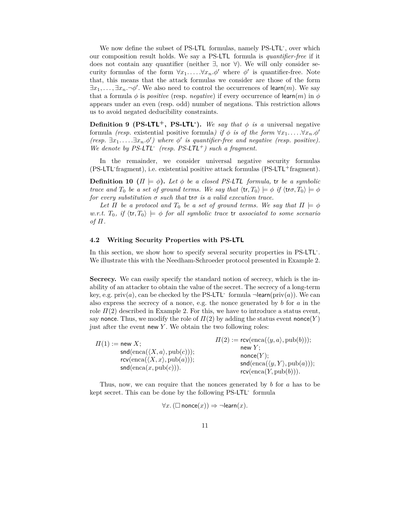We now define the subset of PS-LTL formulas, namely PS-LTL<sup>-</sup>, over which our composition result holds. We say a PS-LTL formula is *quantifier-free* if it does not contain any quantifier (neither *∃*, nor *∀*). We will only consider security formulas of the form  $\forall x_1, \ldots, \forall x_n. \phi'$  where  $\phi'$  is quantifier-free. Note that, this means that the attack formulas we consider are those of the form *∃x*1*, . . . , ∃xn.¬φ ′* . We also need to control the occurrences of learn(*m*). We say that a formula  $\phi$  is *positive* (resp. *negative*) if every occurrence of learn $(m)$  in  $\phi$ appears under an even (resp. odd) number of negations. This restriction allows us to avoid negated deducibility constraints.

**Definition 9 (PS-LTL<sup>+</sup>, PS-LTL<sup>-</sup>).** We say that  $\phi$  is a universal negative formula *(resp.* existential positive formula*)* if  $\phi$  is of the form  $\forall x_1, \ldots, \forall x_n, \phi'$ *(resp.*  $\exists x_1 \ldots \exists x_n \ldotp \phi'$ ) where  $\phi'$  is quantifier-free and negative (resp. positive). *We denote by PS-*LTL*- (resp. PS-*LTL*+) such a fragment.*

In the remainder, we consider universal negative security formulas (PS-LTL-fragment), i.e. existential positive attack formulas (PS-LTL+fragment).

**Definition 10**  $(\Pi \models \phi)$ . Let  $\phi$  be a closed PS-LTL formula, tr be a symbolic *trace and*  $T_0$  *be a set of ground terms. We say that*  $\langle \text{tr}, T_0 \rangle \models \phi$  *if*  $\langle \text{tr}\sigma, T_0 \rangle \models \phi$ *for every substitution σ such that* tr*σ is a valid execution trace.*

*Let*  $\Pi$  *be a protocol and*  $T_0$  *be a set of ground terms. We say that*  $\Pi \models \phi$ *w.r.t.*  $T_0$ , if  $\langle \text{tr}, T_0 \rangle \models \phi$  *for all symbolic trace* tr *associated to some scenario*  $of$  $\Pi$ *.* 

#### **4.2 Writing Security Properties with PS-LTL**

In this section, we show how to specify several security properties in PS-LTL<sup>-</sup>. We illustrate this with the Needham-Schroeder protocol presented in Example 2.

**Secrecy.** We can easily specify the standard notion of secrecy, which is the inability of an attacker to obtain the value of the secret. The secrecy of a long-term key, e.g.  $\text{priv}(a)$ , can be checked by the PS-LTL<sup>-</sup> formula  $\neg$ learn( $\text{priv}(a)$ ). We can also express the secrecy of a nonce, e.g. the nonce generated by *b* for *a* in the role  $\Pi(2)$  described in Example 2. For this, we have to introduce a status event, say nonce. Thus, we modify the role of  $\Pi(2)$  by adding the status event nonce(*Y*) just after the event new *Y*. We obtain the two following roles:

| $\Pi(1) := \text{new } X;$                                             | $\Pi(2) := \text{rcv}(\text{enca}(\langle y, a \rangle, \text{pub}(b)))$ ; |
|------------------------------------------------------------------------|----------------------------------------------------------------------------|
| $\mathsf{snd}(\mathsf{enca}(\langle X, a \rangle, \mathsf{pub}(c)))$ ; | new $Y$ :                                                                  |
|                                                                        | $\mathsf{none}(Y)$ ;                                                       |
| $rcv(enca(\langle X, x \rangle, \text{pub}(a)));$                      | $\mathsf{snd}(\text{enca}(\langle y, Y \rangle, \text{pub}(a)))$ ;         |
| $\mathsf{snd}(\text{enca}(x, \text{pub}(c)))$ .                        | rcv(enca(Y, pub(b))).                                                      |

Thus, now, we can require that the nonces generated by *b* for *a* has to be kept secret. This can be done by the following PS-LTL-formula

$$
\forall x. \left(\Box \operatorname{none}(x)\right) \Rightarrow \neg \operatorname{learn}(x).
$$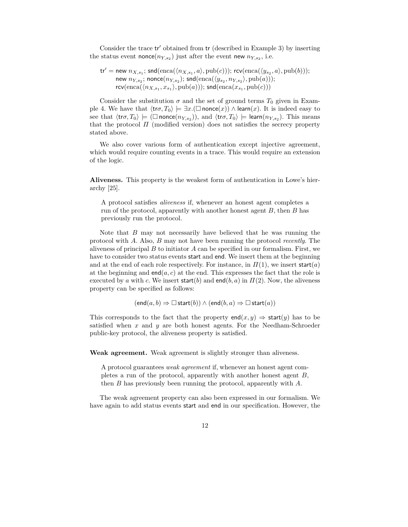Consider the trace tr*′* obtained from tr (described in Example 3) by inserting the status event nonce( $n_{Y,s_2}$ ) just after the event new  $n_{Y,s_2}$ , i.e.

$$
\mathsf{tr}' = \text{new } n_{X,s_1}; \, \text{snd}(\text{enca}(\langle n_{X,s_1}, a \rangle, \text{pub}(c))); \, \text{rcv}(\text{enca}(\langle y_{s_2}, a \rangle, \text{pub}(b))); \\ \text{new } n_{Y,s_2}; \, \text{none}(n_{Y,s_2}); \, \text{snd}(\text{enca}(\langle y_{s_2}, n_{Y,s_2} \rangle, \text{pub}(a))); \\ \text{rcv}(\text{enca}(\langle n_{X,s_1}, x_{s_1} \rangle, \text{pub}(a))); \, \text{snd}(\text{enca}(x_{s_1}, \text{pub}(c)))
$$

Consider the substitution  $\sigma$  and the set of ground terms  $T_0$  given in Example 4. We have that  $\langle \text{tr}\sigma, T_0 \rangle \models \exists x. (\Box \text{none}(x)) \land \text{learn}(x)$ . It is indeed easy to see that  $\langle \text{tr}\sigma, T_0 \rangle \models (\Box \text{ nonce}(n_{Y,s_2}))$ , and  $\langle \text{tr}\sigma, T_0 \rangle \models \text{learn}(n_{Y,s_2})$ . This means that the protocol  $\Pi$  (modified version) does not satisfies the secrecy property stated above.

We also cover various form of authentication except injective agreement, which would require counting events in a trace. This would require an extension of the logic.

**Aliveness.** This property is the weakest form of authentication in Lowe's hierarchy [25].

A protocol satisfies *aliveness* if, whenever an honest agent completes a run of the protocol, apparently with another honest agent *B*, then *B* has previously run the protocol.

Note that *B* may not necessarily have believed that he was running the protocol with *A*. Also, *B* may not have been running the protocol *recently*. The aliveness of principal *B* to initiator *A* can be specified in our formalism. First, we have to consider two status events start and end. We insert them at the beginning and at the end of each role respectively. For instance, in  $\Pi(1)$ , we insert start(*a*) at the beginning and  $\text{end}(a, c)$  at the end. This expresses the fact that the role is executed by *a* with *c*. We insert start(*b*) and end(*b*, *a*) in  $\Pi(2)$ . Now, the aliveness property can be specified as follows:

 $(\text{end}(a, b) \Rightarrow \Box$  start $(b)$ )  $\land$   $(\text{end}(b, a) \Rightarrow \Box$  start $(a)$ )

This corresponds to the fact that the property  $end(x, y) \Rightarrow start(y)$  has to be satisfied when *x* and *y* are both honest agents. For the Needham-Schroeder public-key protocol, the aliveness property is satisfied.

**Weak agreement.** Weak agreement is slightly stronger than aliveness.

A protocol guarantees *weak agreement* if, whenever an honest agent completes a run of the protocol, apparently with another honest agent *B*, then *B* has previously been running the protocol, apparently with *A*.

The weak agreement property can also been expressed in our formalism. We have again to add status events start and end in our specification. However, the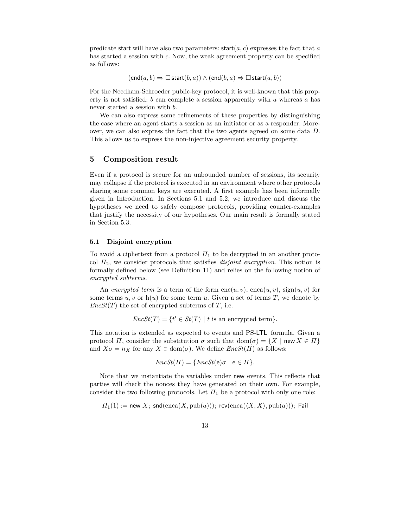predicate start will have also two parameters: start(*a, c*) expresses the fact that *a* has started a session with *c*. Now, the weak agreement property can be specified as follows:

$$
(\text{end}(a, b) \Rightarrow \Box \text{start}(b, a)) \land (\text{end}(b, a) \Rightarrow \Box \text{start}(a, b))
$$

For the Needham-Schroeder public-key protocol, it is well-known that this property is not satisfied: *b* can complete a session apparently with *a* whereas *a* has never started a session with *b*.

We can also express some refinements of these properties by distinguishing the case where an agent starts a session as an initiator or as a responder. Moreover, we can also express the fact that the two agents agreed on some data *D*. This allows us to express the non-injective agreement security property.

# **5 Composition result**

Even if a protocol is secure for an unbounded number of sessions, its security may collapse if the protocol is executed in an environment where other protocols sharing some common keys are executed. A first example has been informally given in Introduction. In Sections 5.1 and 5.2, we introduce and discuss the hypotheses we need to safely compose protocols, providing counter-examples that justify the necessity of our hypotheses. Our main result is formally stated in Section 5.3.

#### **5.1 Disjoint encryption**

To avoid a ciphertext from a protocol  $\Pi_1$  to be decrypted in an another protocol *Π*2, we consider protocols that satisfies *disjoint encryption*. This notion is formally defined below (see Definition 11) and relies on the following notion of *encrypted subterms*.

An *encrypted term* is a term of the form  $enc(u, v)$ ,  $enc(a, v)$ ,  $sign(u, v)$  for some terms  $u, v$  or  $h(u)$  for some term  $u$ . Given a set of terms  $T$ , we denote by *EncSt*(*T*) the set of encrypted subterms of *T*, i.e.

$$
EncSt(T) = \{ t' \in St(T) \mid t \text{ is an encrypted term} \}.
$$

This notation is extended as expected to events and PS-LTL formula. Given a protocol *Π*, consider the substitution  $\sigma$  such that  $dom(\sigma) = \{X \mid new X \in \Pi\}$ and  $X\sigma = n_X$  for any  $X \in \text{dom}(\sigma)$ . We define  $EncSt(\Pi)$  as follows:

$$
EncSt(\Pi) = \{EncSt(e)\sigma \mid e \in \Pi\}.
$$

Note that we instantiate the variables under new events. This reflects that parties will check the nonces they have generated on their own. For example, consider the two following protocols. Let  $\Pi_1$  be a protocol with only one role:

$$
\Pi_1(1):=\mathsf{new}\ X\text{; }\mathsf{snd}(\mathsf{enca}(X,\mathsf{pub}(a)))\text{; }\mathsf{rcv}(\mathsf{enca}(\langle X,X\rangle,\mathsf{pub}(a)))\text{; }\mathsf{Fall}
$$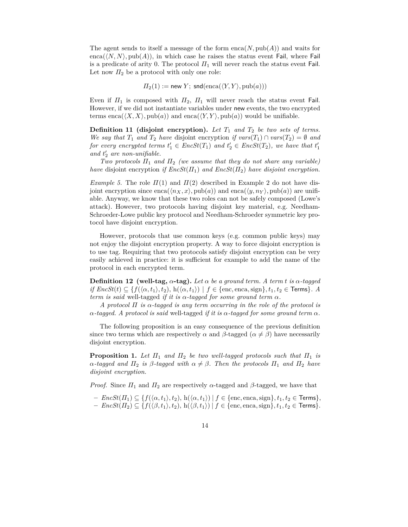The agent sends to itself a message of the form  $enca(N, pub(A))$  and waits for  $enca(\langle N,N \rangle, \text{pub}(A))$ , in which case he raises the status event Fail, where Fail is a predicate of arity 0. The protocol  $\Pi_1$  will never reach the status event Fail. Let now  $\Pi_2$  be a protocol with only one role:

$$
\Pi_2(1):=\text{new }Y;\;\text{snd}(\text{enca}(\langle Y,Y\rangle,\text{pub}(a)))
$$

Even if  $\Pi_1$  is composed with  $\Pi_2$ ,  $\Pi_1$  will never reach the status event Fail. However, if we did not instantiate variables under new events, the two encrypted terms enca $(X, X)$ , pub(*a*)) and enca $(X, Y)$ , pub(*a*)) would be unifiable.

**Definition 11 (disjoint encryption).** *Let T*<sup>1</sup> *and T*<sup>2</sup> *be two sets of terms. We say that*  $T_1$  *and*  $T_2$  *have* disjoint encryption *if vars*( $T_1$ )  $\cap$  *vars*( $T_2$ ) =  $\emptyset$  *and for every encrypted terms*  $t'_1 \in EncSt(T_1)$  *and*  $t'_2 \in EncSt(T_2)$ *, we have that*  $t'_1$ *and t ′* <sup>2</sup> *are non-unifiable.*

*Two protocols Π*<sup>1</sup> *and Π*<sup>2</sup> *(we assume that they do not share any variable) have* disjoint encryption *if EncSt*(*Π*1) *and EncSt*(*Π*2) *have disjoint encryption.*

*Example 5.* The role  $\Pi(1)$  and  $\Pi(2)$  described in Example 2 do not have disjoint encryption since enca $(\langle n_x, x \rangle, \text{pub}(a))$  and enca $(\langle y, n_y \rangle, \text{pub}(a))$  are unifiable. Anyway, we know that these two roles can not be safely composed (Lowe's attack). However, two protocols having disjoint key material, e.g. Needham-Schroeder-Lowe public key protocol and Needham-Schroeder symmetric key protocol have disjoint encryption.

However, protocols that use common keys (e.g. common public keys) may not enjoy the disjoint encryption property. A way to force disjoint encryption is to use tag. Requiring that two protocols satisfy disjoint encryption can be very easily achieved in practice: it is sufficient for example to add the name of the protocol in each encrypted term.

**Definition 12 (well-tag,**  $α$ -tag). Let  $α$  be a ground term. A term  $t$  is  $α$ -tagged if  $EncSt(t) \subseteq \{f(\langle \alpha, t_1 \rangle, t_2), h(\langle \alpha, t_1 \rangle) \mid f \in \{\text{enc}, \text{enca}, \text{sign}\}, t_1, t_2 \in \text{Terms}\}\.$  A *term is said* well-tagged *if it is α-tagged for some ground term α.*

*A protocol Π is α-tagged is any term occurring in the role of the protocol is α-tagged. A protocol is said* well-tagged *if it is α-tagged for some ground term α.*

The following proposition is an easy consequence of the previous definition since two terms which are respectively  $\alpha$  and  $\beta$ -tagged ( $\alpha \neq \beta$ ) have necessarily disjoint encryption.

**Proposition 1.** Let  $\Pi_1$  and  $\Pi_2$  be two well-tagged protocols such that  $\Pi_1$  is *α-tagged and*  $\Pi_2$  *is β-tagged with*  $\alpha \neq \beta$ *. Then the protocols*  $\Pi_1$  *and*  $\Pi_2$  *have disjoint encryption.*

*Proof.* Since  $\Pi_1$  and  $\Pi_2$  are respectively  $\alpha$ -tagged and  $\beta$ -tagged, we have that

 $EncSt(\Pi_1) \subseteq \{f(\langle \alpha, t_1 \rangle, t_2), h(\langle \alpha, t_1 \rangle) \mid f \in \{\text{enc}, \text{enca}, \text{sign}\}, t_1, t_2 \in \text{Terms}\},\$  $EncSt(\Pi_2) \subseteq \{f(\langle \beta, t_1 \rangle, t_2), h(\langle \beta, t_1 \rangle) \mid f \in \{\text{enc}, \text{enca}, \text{sign}\}, t_1, t_2 \in \text{Terms}\}.$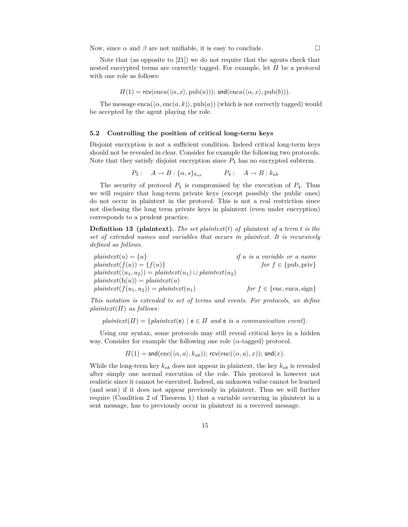Now, since  $\alpha$  and  $\beta$  are not unifiable, it is easy to conclude.

Note that (as opposite to [21]) we do not require that the agents check that nested encrypted terms are correctly tagged. For example, let *Π* be a protocol with one role as follows:

$$
\Pi(1) = \text{rcv}(\text{enca}(\langle \alpha, x \rangle, \text{pub}(a))); \text{snd}(\text{enca}(\langle \alpha, x \rangle, \text{pub}(b))).
$$

The message enca $(\langle \alpha, \text{enc}(a, k) \rangle, \text{pub}(a))$  (which is not correctly tagged) would be accepted by the agent playing the role.

#### **5.2 Controlling the position of critical long-term keys**

Disjoint encryption is not a sufficient condition. Indeed critical long-term keys should not be revealed in clear. Consider for example the following two protocols. Note that they satisfy disjoint encryption since  $P_4$  has no encrypted subterm.

$$
P_3: \quad A \to B: \{\alpha, s\}_{k_{ab}} \qquad \qquad P_4: \quad A \to B: k_{ab}
$$

The security of protocol  $P_3$  is compromised by the execution of  $P_4$ . Thus we will require that long-term private keys (except possibly the public ones) do not occur in plaintext in the protocol. This is not a real restriction since not disclosing the long term private keys in plaintext (even under encryption) corresponds to a prudent practice.

**Definition 13 (plaintext).** *The set plaintext*(*t*) *of* plaintext *of a term t is the set of extended names and variables that occurs in plaintext. It is recursively defined as follows.*

 $plaintext(u) = \{u\}$  *if u is a variable or a name*  $plaintext(f(u)) = {f(u)}$  *for*  $f \in \{pub, priv\}$  $plaintext(\langle u_1, u_2 \rangle) = plaintext(u_1) \cup plaintext(u_2)$  $plaintext(h(u)) = plaintext(u)$  $plaintext(f(u_1, u_2)) = plaintext(u_1)$  *for*  $f \in \{enc, enca, sign\}$ 

*This notation is extended to set of terms and events. For protocols, we define plaintext*(*Π*) *as follows:*

*plaintext*( $\Pi$ ) = {*plaintext*( $e$ ) |  $e \in \Pi$  *and*  $e$  *is a communication event*}*.* 

Using our syntax, some protocols may still reveal critical keys in a hidden way. Consider for example the following one role (*α*-tagged) protocol.

$$
\Pi(1) = \mathsf{snd}(\text{enc}(\langle \alpha, a \rangle, k_{ab})); \, \mathsf{rcv}(\text{enc}(\langle \alpha, a \rangle, x)); \, \mathsf{snd}(x).
$$

While the long-term key  $k_{ab}$  does not appear in plaintext, the key  $k_{ab}$  is revealed after simply one normal execution of the role. This protocol is however not realistic since it cannot be executed. Indeed, an unknown value cannot be learned (and sent) if it does not appear previously in plaintext. Thus we will further require (Condition 2 of Theorem 1) that a variable occurring in plaintext in a sent message, has to previously occur in plaintext in a received message.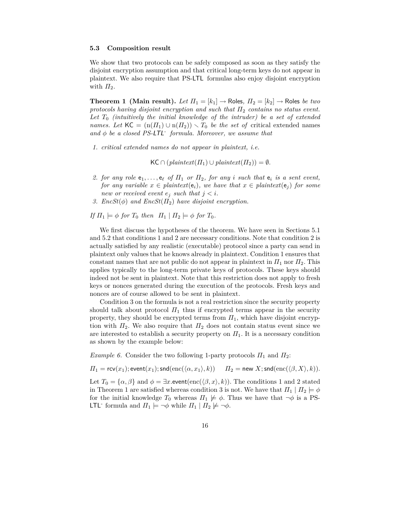#### **5.3 Composition result**

We show that two protocols can be safely composed as soon as they satisfy the disjoint encryption assumption and that critical long-term keys do not appear in plaintext. We also require that PS-LTL formulas also enjoy disjoint encryption with  $\Pi_2$ .

**Theorem 1 (Main result).** *Let*  $\Pi_1 = [k_1] \rightarrow$  Roles,  $\Pi_2 = [k_2] \rightarrow$  Roles *be two protocols having disjoint encryption and such that Π*<sup>2</sup> *contains no status event. Let T*<sup>0</sup> *(intuitively the initial knowledge of the intruder) be a set of extended names. Let*  $KC = (n(H_1) \cup n(H_2)) \setminus T_0$  *be the set of* critical extended names *and φ be a closed PS-*LTL*-formula. Moreover, we assume that*

*1. critical extended names do not appear in plaintext, i.e.*

 $\mathsf{KC} \cap (plaintext(\Pi_1) \cup plaintext(\Pi_2)) = \emptyset.$ 

- 2. for any role  $e_1, \ldots, e_\ell$  of  $\Pi_1$  or  $\Pi_2$ , for any *i* such that  $e_i$  *is a sent event, for any variable*  $x \in plaintext(e_i)$ *, we have that*  $x \in plaintext(e_i)$  *for some new or received event*  $e_j$  *such that*  $j < i$ *.*
- *3. EncSt*(*φ*) *and EncSt*(*Π*2) *have disjoint encryption.*

 $If \Pi_1 \models \phi \text{ for } T_0 \text{ then } \Pi_1 \mid \Pi_2 \models \phi \text{ for } T_0.$ 

We first discuss the hypotheses of the theorem. We have seen in Sections 5.1 and 5.2 that conditions 1 and 2 are necessary conditions. Note that condition 2 is actually satisfied by any realistic (executable) protocol since a party can send in plaintext only values that he knows already in plaintext. Condition 1 ensures that constant names that are not public do not appear in plaintext in  $\Pi_1$  nor  $\Pi_2$ . This applies typically to the long-term private keys of protocols. These keys should indeed not be sent in plaintext. Note that this restriction does not apply to fresh keys or nonces generated during the execution of the protocols. Fresh keys and nonces are of course allowed to be sent in plaintext.

Condition 3 on the formula is not a real restriction since the security property should talk about protocol  $\Pi_1$  thus if encrypted terms appear in the security property, they should be encrypted terms from  $\Pi_1$ , which have disjoint encryption with  $\Pi_2$ . We also require that  $\Pi_2$  does not contain status event since we are interested to establish a security property on  $\Pi_1$ . It is a necessary condition as shown by the example below:

*Example 6.* Consider the two following 1-party protocols  $\Pi_1$  and  $\Pi_2$ :

$$
\varPi_1=\mathsf{rcv}(x_1);\mathsf{event}(x_1);\mathsf{snd}(\mathsf{enc}(\langle \alpha, x_1 \rangle, k))\quad \ \ \varPi_2=\mathsf{new}\ X\mathsf{;snd}(\mathsf{enc}(\langle \beta, X \rangle, k)).
$$

Let  $T_0 = {\alpha, \beta}$  and  $\phi = \exists x.\text{event}(\text{enc}(\langle \beta, x \rangle, k))$ . The conditions 1 and 2 stated in Theorem 1 are satisfied whereas condition 3 is not. We have that  $\Pi_1 \mid \Pi_2 \models \phi$ for the initial knowledge  $T_0$  whereas  $\Pi_1 \not\models \phi$ . Thus we have that  $\neg \phi$  is a PS-LTL<sup>-</sup> formula and  $\Pi_1 \models \neg \phi$  while  $\Pi_1 \mid \Pi_2 \not\models \neg \phi$ .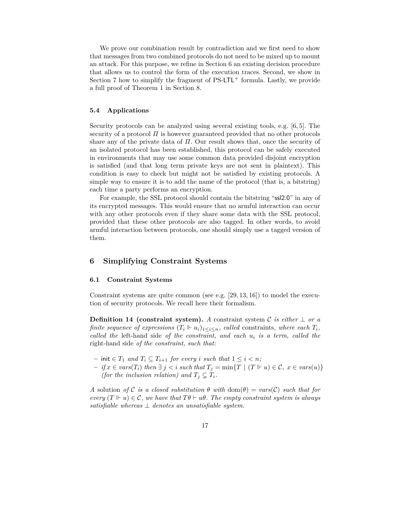We prove our combination result by contradiction and we first need to show that messages from two combined protocols do not need to be mixed up to mount an attack. For this purpose, we refine in Section 6 an existing decision procedure that allows us to control the form of the execution traces. Second, we show in Section 7 how to simplify the fragment of  $PS-LTL^+$  formula. Lastly, we provide a full proof of Theorem 1 in Section 8.

#### **5.4 Applications**

Security protocols can be analyzed using several existing tools, e.g. [6, 5]. The security of a protocol  $\Pi$  is however guaranteed provided that no other protocols share any of the private data of *Π*. Our result shows that, once the security of an isolated protocol has been established, this protocol can be safely executed in environments that may use some common data provided disjoint encryption is satisfied (and that long term private keys are not sent in plaintext). This condition is easy to check but might not be satisfied by existing protocols. A simple way to ensure it is to add the name of the protocol (that is, a bitstring) each time a party performs an encryption.

For example, the SSL protocol should contain the bitstring "ssl2.0" in any of its encrypted messages. This would ensure that no armful interaction can occur with any other protocols even if they share some data with the SSL protocol, provided that these other protocols are also tagged. In other words, to avoid armful interaction between protocols, one should simply use a tagged version of them.

# **6 Simplifying Constraint Systems**

### **6.1 Constraint Systems**

Constraint systems are quite common (see e.g. [29, 13, 16]) to model the execution of security protocols. We recall here their formalism.

**Definition 14 (constraint system).** *A* constraint system  $\mathcal{C}$  *is either*  $\perp$  *or a finite sequence of expressions*  $(T_i \Vdash u_i)_{1 \leq i \leq n}$ , called constraints, where each  $T_i$ , *called the* left-hand side *of the constraint, and each u<sup>i</sup> is a term, called the* right-hand side *of the constraint, such that:*

- $-$  init ∈  $T_1$  *and*  $T_i ⊆ T_{i+1}$  *for every i such that*  $1 ≤ i < n$ *;*
- $-$  if  $x \in vars(T_i)$  then  $\exists j < i$  such that  $T_j = min\{T \mid (T \Vdash u) \in \mathcal{C}, x \in vars(u)\}\$ *(for the inclusion relation) and*  $T_j \subsetneq T_i$ *.*

*A* solution *of C is a closed substitution*  $\theta$  *with* dom( $\theta$ ) = *vars*( $C$ ) *such that for every*  $(T \Vdash u) \in \mathcal{C}$ , we have that  $T\theta \vdash u\theta$ . The empty constraint system is always *satisfiable whereas ⊥ denotes an unsatisfiable system.*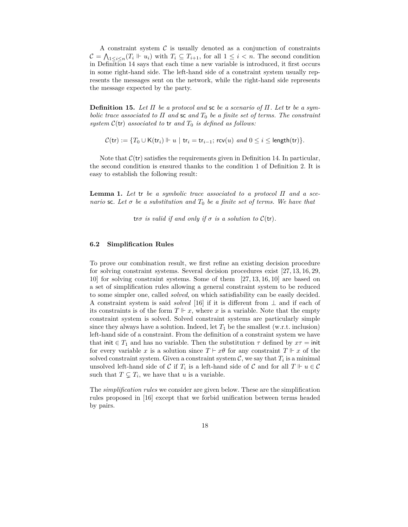A constraint system  $\mathcal C$  is usually denoted as a conjunction of constraints  $\mathcal{C} = \bigwedge_{1 \leq i \leq n} (T_i \Vdash u_i)$  with  $T_i \subseteq T_{i+1}$ , for all  $1 \leq i < n$ . The second condition in Definition 14 says that each time a new variable is introduced, it first occurs in some right-hand side. The left-hand side of a constraint system usually represents the messages sent on the network, while the right-hand side represents the message expected by the party.

**Definition 15.** *Let Π be a protocol and* sc *be a scenario of Π. Let* tr *be a symbolic trace associated to Π and* sc *and T*<sup>0</sup> *be a finite set of terms. The constraint* system  $C(\mathsf{tr})$  *associated to*  $\mathsf{tr}$  *and*  $T_0$  *is defined as follows:* 

 $C(\text{tr}) := \{T_0 \cup K(\text{tr}_i) \Vdash u \mid \text{tr}_i = \text{tr}_{i-1}$ ;  $\text{rcv}(u)$  *and*  $0 \leq i \leq \text{length}(\text{tr})\}$ *.* 

Note that  $\mathcal{C}(\mathsf{tr})$  satisfies the requirements given in Definition 14. In particular, the second condition is ensured thanks to the condition 1 of Definition 2. It is easy to establish the following result:

**Lemma 1.** *Let* tr *be a symbolic trace associated to a protocol Π and a scenario* sc. Let  $\sigma$  *be a substitution and*  $T_0$  *be a finite set of terms. We have that* 

tr $\sigma$  *is valid if and only if*  $\sigma$  *is a solution to*  $C(\mathsf{tr})$ *.* 

# **6.2 Simplification Rules**

To prove our combination result, we first refine an existing decision procedure for solving constraint systems. Several decision procedures exist [27, 13, 16, 29, 10] for solving constraint systems. Some of them [27, 13, 16, 10] are based on a set of simplification rules allowing a general constraint system to be reduced to some simpler one, called *solved*, on which satisfiability can be easily decided. A constraint system is said *solved* [16] if it is different from *⊥* and if each of its constraints is of the form  $T \Vdash x$ , where x is a variable. Note that the empty constraint system is solved. Solved constraint systems are particularly simple since they always have a solution. Indeed, let  $T_1$  be the smallest (w.r.t. inclusion) left-hand side of a constraint. From the definition of a constraint system we have that init  $\in T_1$  and has no variable. Then the substitution  $\tau$  defined by  $x\tau = \text{init}$ for every variable x is a solution since  $T \vdash x\theta$  for any constraint  $T \Vdash x$  of the solved constraint system. Given a constraint system  $\mathcal{C}$ , we say that  $T_i$  is a minimal unsolved left-hand side of *C* if  $T_i$  is a left-hand side of *C* and for all  $T \Vdash u \in C$ such that  $T \subsetneq T_i$ , we have that *u* is a variable.

The *simplification rules* we consider are given below. These are the simplification rules proposed in [16] except that we forbid unification between terms headed by pairs.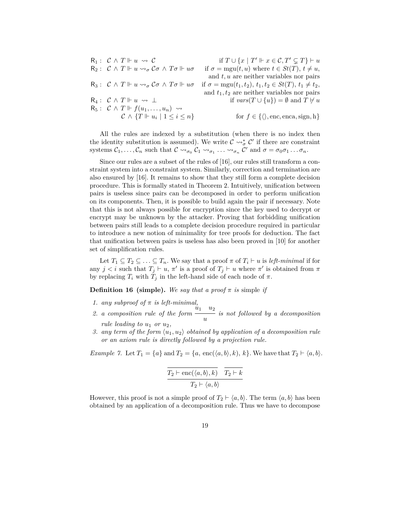| $R_1: \mathcal{C} \wedge T \Vdash u \rightsquigarrow \mathcal{C}$                                                 | if $T \cup \{x \mid T' \Vdash x \in \mathcal{C}, T' \subseteq T\} \vdash u$       |
|-------------------------------------------------------------------------------------------------------------------|-----------------------------------------------------------------------------------|
| $R_2: \mathcal{C} \wedge T \Vdash u \rightsquigarrow_{\sigma} \mathcal{C} \sigma \wedge T \sigma \Vdash u \sigma$ | if $\sigma = \text{mgu}(t, u)$ where $t \in St(T)$ , $t \neq u$ ,                 |
|                                                                                                                   | and $t, u$ are neither variables nor pairs                                        |
| $R_3: \mathcal{C} \wedge T \Vdash u \leadsto_{\sigma} \mathcal{C} \sigma \wedge T \sigma \Vdash u\sigma$          | if $\sigma = \text{mgu}(t_1, t_2), t_1, t_2 \in St(T), t_1 \neq t_2,$             |
|                                                                                                                   | and $t_1, t_2$ are neither variables nor pairs                                    |
| $R_4: \mathcal{C} \wedge T \Vdash u \rightsquigarrow \perp$                                                       | if $vars(T \cup \{u\}) = \emptyset$ and $T \not\vdash u$                          |
| $R_5: \mathcal{C} \wedge T \Vdash f(u_1, \ldots, u_n) \rightsquigarrow$                                           |                                                                                   |
| $C \wedge \{T \Vdash u_i \mid 1 \leq i \leq n\}$                                                                  | for $f \in \{ \langle \rangle, \text{enc}, \text{enca}, \text{sign}, \text{h} \}$ |
|                                                                                                                   |                                                                                   |

All the rules are indexed by a substitution (when there is no index then the identity substitution is assumed). We write  $\mathcal{C} \leadsto_{\sigma}^* \mathcal{C}'$  if there are constraint systems  $C_1, \ldots, C_n$  such that  $C \leadsto_{\sigma_0} C_1 \leadsto_{\sigma_1} \ldots \leadsto_{\sigma_n} C'$  and  $\sigma = \sigma_0 \sigma_1 \ldots \sigma_n$ .

Since our rules are a subset of the rules of [16], our rules still transform a constraint system into a constraint system. Similarly, correction and termination are also ensured by [16]. It remains to show that they still form a complete decision procedure. This is formally stated in Theorem 2. Intuitively, unification between pairs is useless since pairs can be decomposed in order to perform unification on its components. Then, it is possible to build again the pair if necessary. Note that this is not always possible for encryption since the key used to decrypt or encrypt may be unknown by the attacker. Proving that forbidding unification between pairs still leads to a complete decision procedure required in particular to introduce a new notion of minimality for tree proofs for deduction. The fact that unification between pairs is useless has also been proved in [10] for another set of simplification rules.

Let  $T_1 \subseteq T_2 \subseteq \ldots \subseteq T_n$ . We say that a proof  $\pi$  of  $T_i \vdash u$  is *left-minimal* if for any  $j < i$  such that  $T_j \vdash u, \pi'$  is a proof of  $T_j \vdash u$  where  $\pi'$  is obtained from  $\pi$ by replacing  $T_i$  with  $T_j$  in the left-hand side of each node of  $\pi$ .

**Definition 16 (simple).** We say that a proof  $\pi$  is simple if

- *1. any subproof of π is left-minimal,*
- *2. a composition rule of the form*  $\ddot{u}_1$   $u_2$ *u is not followed by a decomposition rule leading to*  $u_1$  *or*  $u_2$ *,*
- *3. any term of the form*  $\langle u_1, u_2 \rangle$  *obtained by application of a decomposition rule or an axiom rule is directly followed by a projection rule.*

*Example 7.* Let  $T_1 = \{a\}$  and  $T_2 = \{a, \text{ enc}(\langle a, b \rangle, k), k\}$ . We have that  $T_2 \vdash \langle a, b \rangle$ .

$$
\frac{T_2 \vdash \text{enc}(\langle a, b \rangle, k)}{T_2 \vdash \langle a, b \rangle} \frac{\overline{T_2 \vdash k}}{T_2 \vdash \langle a, b \rangle}
$$

However, this proof is not a simple proof of  $T_2 \vdash \langle a, b \rangle$ . The term  $\langle a, b \rangle$  has been obtained by an application of a decomposition rule. Thus we have to decompose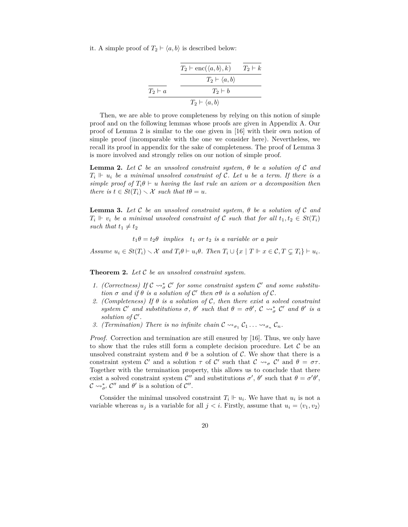it. A simple proof of  $T_2 \vdash \langle a, b \rangle$  is described below:

$$
\frac{T_2 \vdash \text{enc}(\langle a, b \rangle, k)}{T_2 \vdash a} \frac{T_2 \vdash \langle a, b \rangle}{T_2 \vdash \langle a, b \rangle}
$$
\n
$$
\frac{T_2 \vdash a}{T_2 \vdash \langle a, b \rangle}
$$

Then, we are able to prove completeness by relying on this notion of simple proof and on the following lemmas whose proofs are given in Appendix A. Our proof of Lemma 2 is similar to the one given in [16] with their own notion of simple proof (incomparable with the one we consider here). Nevertheless, we recall its proof in appendix for the sake of completeness. The proof of Lemma 3 is more involved and strongly relies on our notion of simple proof.

**Lemma 2.** Let C be an unsolved constraint system,  $\theta$  be a solution of C and  $T_i \Vdash u_i$  *be a minimal unsolved constraint of* C. Let *u be a term. If there is a simple proof of*  $T_i\theta$  *⊢ u having the last rule an axiom or a decomposition then there is*  $t \in St(T_i) \setminus \mathcal{X}$  *such that*  $t\theta = u$ *.* 

**Lemma 3.** *Let C be an unsolved constraint system, θ be a solution of C and*  $T_i \Vdash v_i$  *be a minimal unsolved constraint of*  $C$  *such that for all*  $t_1, t_2 \in St(T_i)$ *such that*  $t_1 \neq t_2$ 

 $t_1\theta = t_2\theta$  *implies*  $t_1$  *or*  $t_2$  *is a variable or a pair* 

Assume  $u_i \in St(T_i) \setminus \mathcal{X}$  and  $T_i \theta \vdash u_i \theta$ . Then  $T_i \cup \{x \mid T \Vdash x \in \mathcal{C}, T \subsetneq T_i\} \vdash u_i$ .

**Theorem 2.** *Let C be an unsolved constraint system.*

- *1. (Correctness)* If  $C \rightarrow_{\sigma}^* C'$  for some constraint system  $C'$  and some substitu*tion*  $\sigma$  *and if*  $\theta$  *is a solution of*  $\mathcal{C}'$  *then*  $\sigma\theta$  *is a solution of*  $\mathcal{C}$ *.*
- *2. (Completeness) If θ is a solution of C, then there exist a solved constraint* system C' and substitutions  $\sigma$ ,  $\theta'$  such that  $\theta = \sigma \theta'$ ,  $C \leadsto_{\sigma}^* C'$  and  $\theta'$  is a *solution of C ′ .*
- *3.* (Termination) There is no infinite chain  $C \rightarrow_{\sigma_1} C_1 \ldots \rightarrow_{\sigma_n} C_n$ .

*Proof.* Correction and termination are still ensured by [16]. Thus, we only have to show that the rules still form a complete decision procedure. Let *C* be an unsolved constraint system and  $\theta$  be a solution of  $\mathcal{C}$ . We show that there is a constraint system  $C'$  and a solution  $\tau$  of  $C'$  such that  $C \leadsto_{\sigma} C'$  and  $\theta = \sigma \tau$ . Together with the termination property, this allows us to conclude that there exist a solved constraint system  $\mathcal{C}''$  and substitutions  $\sigma'$ ,  $\theta'$  such that  $\theta = \sigma' \theta'$ ,  $\mathcal{C} \rightsquigarrow_{\sigma'}^* \mathcal{C}''$  and  $\theta'$  is a solution of  $\mathcal{C}''$ .

Consider the minimal unsolved constraint  $T_i \Vdash u_i$ . We have that  $u_i$  is not a variable whereas  $u_j$  is a variable for all  $j < i$ . Firstly, assume that  $u_i = \langle v_1, v_2 \rangle$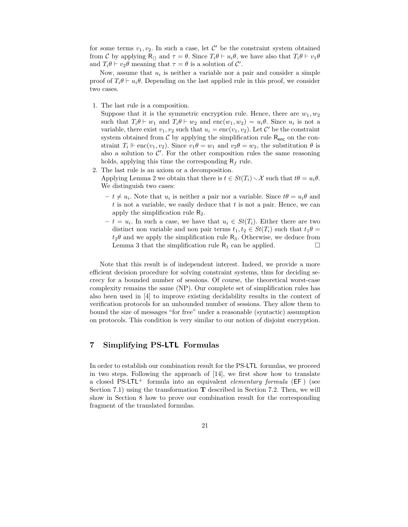for some terms  $v_1, v_2$ . In such a case, let  $\mathcal{C}'$  be the constraint system obtained from *C* by applying  $R_0$  and  $\tau = \theta$ . Since  $T_i\theta \vdash u_i\theta$ , we have also that  $T_i\theta \vdash v_1\theta$ and  $T_i \theta \vdash v_2 \theta$  meaning that  $\tau = \theta$  is a solution of  $\mathcal{C}'$ .

Now, assume that  $u_i$  is neither a variable nor a pair and consider a simple proof of  $T_i\theta \vdash u_i\theta$ . Depending on the last applied rule in this proof, we consider two cases.

1. The last rule is a composition.

Suppose that it is the symmetric encryption rule. Hence, there are  $w_1, w_2$ such that  $T_i\theta \vdash w_1$  and  $T_i\theta \vdash w_2$  and  $enc(w_1, w_2) = u_i\theta$ . Since  $u_i$  is not a variable, there exist  $v_1, v_2$  such that  $u_i = \text{enc}(v_1, v_2)$ . Let  $\mathcal{C}'$  be the constraint system obtained from  $\mathcal C$  by applying the simplification rule  $R_{\text{enc}}$  on the constraint  $T_i \Vdash \text{enc}(v_1, v_2)$ . Since  $v_1 \theta = w_1$  and  $v_2 \theta = w_2$ , the substitution  $\theta$  is also a solution to *C ′* . For the other composition rules the same reasoning holds, applying this time the corresponding R*<sup>f</sup>* rule.

- 2. The last rule is an axiom or a decomposition. Applying Lemma 2 we obtain that there is  $t \in St(T_i) \setminus \mathcal{X}$  such that  $t\theta = u_i\theta$ . We distinguish two cases:
	- $t \neq u_i$ . Note that  $u_i$  is neither a pair nor a variable. Since  $t\theta = u_i\theta$  and *t* is not a variable, we easily deduce that *t* is not a pair. Hence, we can apply the simplification rule  $R_2$ .
	- $t = u_i$ . In such a case, we have that  $u_i \in St(T_i)$ . Either there are two distinct non variable and non pair terms  $t_1, t_2 \in St(T_i)$  such that  $t_1 \theta =$  $t_2\theta$  and we apply the simplification rule R<sub>3</sub>. Otherwise, we deduce from Lemma 3 that the simplification rule  $R_1$  can be applied.  $\square$

Note that this result is of independent interest. Indeed, we provide a more efficient decision procedure for solving constraint systems, thus for deciding secrecy for a bounded number of sessions. Of course, the theoretical worst-case complexity remains the same (NP). Our complete set of simplification rules has also been used in [4] to improve existing decidability results in the context of verification protocols for an unbounded number of sessions. They allow them to bound the size of messages "for free" under a reasonable (syntactic) assumption on protocols. This condition is very similar to our notion of disjoint encryption.

# **7 Simplifying PS-LTL Formulas**

In order to establish our combination result for the PS-LTL formulas, we proceed in two steps. Following the approach of  $[14]$ , we first show how to translate a closed PS-LTL<sup>+</sup> formula into an equivalent *elementary formula* (EF ) (see Section 7.1) using the transformation **T** described in Section 7.2. Then, we will show in Section 8 how to prove our combination result for the corresponding fragment of the translated formulas.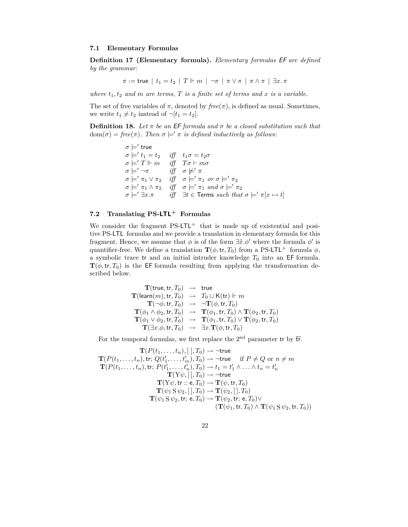#### **7.1 Elementary Formulas**

**Definition 17 (Elementary formula).** *Elementary formulas* EF *are defined by the grammar:*

 $\pi :=$  true  $| t_1 = t_2 | T \Vdash m | \neg \pi | \pi \vee \pi | \pi \wedge \pi | \exists x. \pi$ 

*where*  $t_1, t_2$  *and*  $m$  *are terms,*  $T$  *is a finite set of terms and*  $x$  *is a variable.* 

The set of free variables of  $\pi$ , denoted by  $free(\pi)$ , is defined as usual. Sometimes, we write  $t_1 \neq t_2$  instead of  $\neg [t_1 = t_2]$ .

**Definition 18.** Let  $\pi$  be an EF formula and  $\sigma$  be a closed substitution such that  $dom(\sigma) = free(\pi)$ *. Then*  $\sigma \models' \pi$  *is defined inductively as follows:* 

> $\sigma \models' \mathsf{true}$  $\sigma \models' t_1 = t_2$  *iff*  $t_1 \sigma = t_2 \sigma$  $\sigma \models' T \Vdash m$  *iff*  $T\sigma \vdash m\sigma$  $\sigma \models' \neg \pi$  *iff*  $\sigma \not\models' \pi$  $\sigma \models' \pi_1 \vee \pi_2$  *iff*  $\sigma \models' \pi_1$  *or*  $\sigma \models' \pi_2$  $\sigma \models' \pi_1 \land \pi_2$  *iff*  $\sigma \models' \pi_1$  *and*  $\sigma \models' \pi_2$  $\sigma \models' \exists x.\pi$  *iff*  $\exists t \in \text{Terms } such that \ \sigma \models' \pi[x \mapsto t]$

# **7.2 Translating PS-LTL<sup>+</sup> Formulas**

We consider the fragment  $PS-LTL^+$  that is made up of existential and positive PS-LTL formulas and we provide a translation in elementary formula for this fragment. Hence, we assume that  $\phi$  is of the form  $\exists \tilde{x}.\phi'$  where the formula  $\phi'$  is quantifier-free. We define a translation  $\mathbf{T}(\phi, \mathsf{tr}, T_0)$  from a PS-LTL<sup>+</sup> formula  $\phi$ , a symbolic trace  $tr$  and an initial intruder knowledge  $T_0$  into an EF formula.  $\mathbf{T}(\phi, \mathsf{tr}, T_0)$  is the EF formula resulting from applying the transformation described below.

$$
\mathbf{T}(\mathsf{true},\mathsf{tr},T_0) \rightarrow \mathsf{true} \\ \mathbf{T}(\mathsf{learn}(m),\mathsf{tr},T_0) \rightarrow T_0 \cup \mathsf{K}(\mathsf{tr}) \Vdash m \\ \mathbf{T}(\neg\phi,\mathsf{tr},T_0) \rightarrow \neg\mathbf{T}(\phi,\mathsf{tr},T_0) \\ \mathbf{T}(\phi_1 \land \phi_2,\mathsf{tr},T_0) \rightarrow \mathbf{T}(\phi_1,\mathsf{tr},T_0) \land \mathbf{T}(\phi_2,\mathsf{tr},T_0) \\ \mathbf{T}(\phi_1 \lor \phi_2,\mathsf{tr},T_0) \rightarrow \mathbf{T}(\phi_1,\mathsf{tr},T_0) \lor \mathbf{T}(\phi_2,\mathsf{tr},T_0) \\ \mathbf{T}(\exists x.\phi,\mathsf{tr},T_0) \rightarrow \exists x.\mathbf{T}(\phi,\mathsf{tr},T_0)
$$

For the temporal formulas, we first replace the 2<sup>nd</sup> parameter tr by  $\overline{tr}$ .

$$
\mathbf{T}(P(t_1, \ldots, t_n), [ \ ], T_0) \rightarrow \neg \mathbf{true}
$$
\n
$$
\mathbf{T}(P(t_1, \ldots, t_n), \mathbf{tr}; Q(t'_1, \ldots, t'_m), T_0) \rightarrow \neg \mathbf{true}
$$
 if  $P \neq Q$  or  $n \neq m$ \n
$$
\mathbf{T}(P(t_1, \ldots, t_n), \mathbf{tr}; P(t'_1, \ldots, t'_n), T_0) \rightarrow t_1 = t'_1 \land \ldots \land t_n = t'_n
$$
\n
$$
\mathbf{T}(Y\psi, [], T_0) \rightarrow \neg \mathbf{true}
$$
\n
$$
\mathbf{T}(Y\psi, \mathbf{tr} :: \mathbf{e}, T_0) \rightarrow \mathbf{T}(\psi, \mathbf{tr}, T_0)
$$
\n
$$
\mathbf{T}(\psi_1 \leq \psi_2, [], T_0) \rightarrow \mathbf{T}(\psi_2, [], T_0)
$$
\n
$$
\mathbf{T}(\psi_1 \leq \psi_2, \mathbf{tr}; \mathbf{e}, T_0) \rightarrow \mathbf{T}(\psi_2, \mathbf{tr}; \mathbf{e}, T_0) \lor
$$
\n
$$
(\mathbf{T}(\psi_1, \mathbf{tr}; T_0) \land \mathbf{T}(\psi_1 \leq \psi_2, \mathbf{tr}; T_0))
$$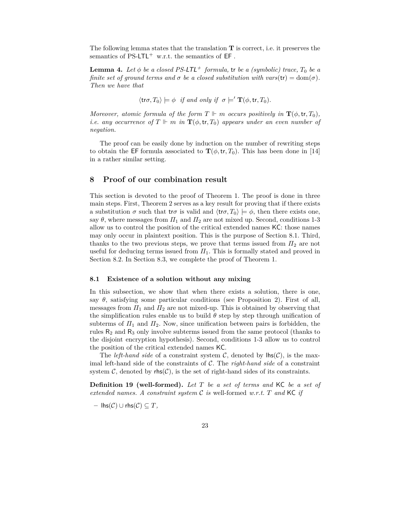The following lemma states that the translation **T** is correct, i.e. it preserves the semantics of  $PS-LTL^+$  w.r.t. the semantics of  $EF$ .

**Lemma 4.** Let  $\phi$  be a closed PS-LTL<sup>+</sup> formula, tr be a (symbolic) trace,  $T_0$  be a *finite set of ground terms and*  $\sigma$  *be a closed substitution with vars*( $tr$ ) = dom( $\sigma$ ). *Then we have that*

$$
\langle \text{tr}\sigma, T_0 \rangle \models \phi \text{ if and only if } \sigma \models' \mathbf{T}(\phi, \text{tr}, T_0).
$$

*Moreover, atomic formula of the form*  $T \Vdash m$  *occurs positively in*  $\mathbf{T}(\phi, \mathsf{tr}, T_0)$ *, i.e. any occurrence of*  $T \Vdash m$  *in*  $\mathbf{T}(\phi, \mathsf{tr}, T_0)$  *appears under an even number of negation.*

The proof can be easily done by induction on the number of rewriting steps to obtain the EF formula associated to  $\mathbf{T}(\phi, \mathsf{tr}, T_0)$ . This has been done in [14] in a rather similar setting.

# **8 Proof of our combination result**

This section is devoted to the proof of Theorem 1. The proof is done in three main steps. First, Theorem 2 serves as a key result for proving that if there exists a substitution  $\sigma$  such that tr $\sigma$  is valid and  $\langle$ tr $\sigma, T_0 \rangle \models \phi$ , then there exists one, say  $\theta$ , where messages from  $\Pi_1$  and  $\Pi_2$  are not mixed up. Second, conditions 1-3 allow us to control the position of the critical extended names KC: those names may only occur in plaintext position. This is the purpose of Section 8.1. Third, thanks to the two previous steps, we prove that terms issued from  $\Pi_2$  are not useful for deducing terms issued from  $\Pi_1$ . This is formally stated and proved in Section 8.2. In Section 8.3, we complete the proof of Theorem 1.

#### **8.1 Existence of a solution without any mixing**

In this subsection, we show that when there exists a solution, there is one, say  $\theta$ , satisfying some particular conditions (see Proposition 2). First of all, messages from  $\Pi_1$  and  $\Pi_2$  are not mixed-up. This is obtained by observing that the simplification rules enable us to build  $\theta$  step by step through unification of subterms of  $\Pi_1$  and  $\Pi_2$ . Now, since unification between pairs is forbidden, the rules  $R_2$  and  $R_3$  only involve subterms issued from the same protocol (thanks to the disjoint encryption hypothesis). Second, conditions 1-3 allow us to control the position of the critical extended names KC.

The *left-hand side* of a constraint system  $\mathcal{C}$ , denoted by  $\mathsf{lhs}(\mathcal{C})$ , is the maximal left-hand side of the constraints of *C*. The *right-hand side* of a constraint system  $\mathcal{C}$ , denoted by rhs $(\mathcal{C})$ , is the set of right-hand sides of its constraints.

**Definition 19 (well-formed).** *Let T be a set of terms and* KC *be a set of extended names. A constraint system C is* well-formed *w.r.t. T and* KC *if*

$$
- \; \text{Ins}(\mathcal{C}) \cup \text{rhs}(\mathcal{C}) \subseteq T,
$$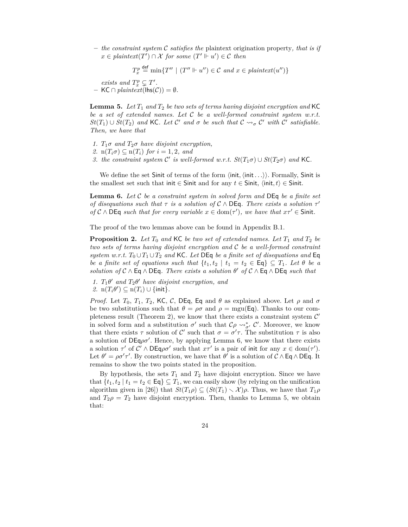**–** *the constraint system C satisfies the* plaintext origination property*, that is if*  $x \in plaintext(T') \cap \mathcal{X}$  *for some*  $(T' \Vdash u') \in \mathcal{C}$  *then* 

 $T_x^p \stackrel{\text{def}}{=} \min\{T'' \mid (T'' \Vdash u'') \in \mathcal{C} \text{ and } x \in \text{plaintext}(u'')\}$ 

*exists and*  $T_x^p \subsetneq T'$ *.*  $−$  KC  $∩$   $plaintext($ Ihs $(C)$  $) = ∅$ *.* 

**Lemma 5.** Let  $T_1$  and  $T_2$  be two sets of terms having disjoint encryption and KC *be a set of extended names. Let C be a well-formed constraint system w.r.t.*  $St(T_1) \cup St(T_2)$  *and* KC*. Let*  $\mathcal{C}'$  *and*  $\sigma$  *be such that*  $\mathcal{C} \leadsto_{\sigma} \mathcal{C}'$  *with*  $\mathcal{C}'$  *satisfiable. Then, we have that*

- *1.*  $T_1\sigma$  *and*  $T_2\sigma$  *have disjoint encryption,*
- 2.  $n(T_i \sigma) \subseteq n(T_i)$  *for*  $i = 1, 2$ *, and*
- *3. the constraint system*  $C'$  *is well-formed w.r.t.*  $St(T_1\sigma) \cup St(T_2\sigma)$  *and* KC.

We define the set Sinit of terms of the form  $\langle \text{init}, \langle \text{init} \dots \rangle \rangle$ . Formally, Sinit is the smallest set such that init  $\in$  Sinit and for any  $t \in$  Sinit,  $\langle \text{init}, t \rangle \in$  Sinit.

**Lemma 6.** *Let C be a constraint system in solved form and* DEq *be a finite set of disequations such that τ is a solution of C ∧* DEq*. There exists a solution τ ′ of*  $C \wedge DEq$  *such that for every variable*  $x \in \text{dom}(\tau')$ *, we have that*  $x\tau' \in$  Sinit.

The proof of the two lemmas above can be found in Appendix B.1.

**Proposition 2.** Let  $T_0$  and KC be two set of extended names. Let  $T_1$  and  $T_2$  be *two sets of terms having disjoint encryption and C be a well-formed constraint system w.r.t.*  $T_0 \cup T_1 \cup T_2$  and KC. Let DEq *be a finite set of disequations and* Eq *be a finite set of equations such that*  $\{t_1, t_2 \mid t_1 = t_2 \in \textsf{Eq}\} \subseteq T_1$ *. Let*  $\theta$  *be a solution of C ∧* Eq *∧* DEq*. There exists a solution θ ′ of C ∧* Eq *∧* DEq *such that*

*1.*  $T_1 \theta'$  *and*  $T_2 \theta'$  *have disjoint encryption, and*  $2.$  n( $T_i \theta'$ )  $\subseteq$  n( $T_i$ )  $\cup$  {init}*.* 

*Proof.* Let  $T_0$ ,  $T_1$ ,  $T_2$ , KC, C, DEq, Eq and  $\theta$  as explained above. Let  $\rho$  and  $\sigma$ be two substitutions such that  $\theta = \rho \sigma$  and  $\rho = \text{mgu}(\text{Eq})$ . Thanks to our completeness result (Theorem 2), we know that there exists a constraint system *C ′* in solved form and a substitution  $\sigma'$  such that  $\mathcal{C}\rho \rightsquigarrow_{\sigma'}^* \mathcal{C}'$ . Moreover, we know that there exists  $\tau$  solution of  $\mathcal{C}'$  such that  $\sigma = \sigma' \tau$ . The substitution  $\tau$  is also a solution of  $DEq\rho\sigma'$ . Hence, by applying Lemma 6, we know that there exists a solution  $\tau'$  of  $\mathcal{C}' \wedge \mathsf{DEq}\rho\sigma'$  such that  $x\tau'$  is a pair of init for any  $x \in \text{dom}(\tau')$ . Let  $\theta' = \rho \sigma' \tau'$ . By construction, we have that  $\theta'$  is a solution of  $\mathcal{C} \wedge \mathsf{Eq} \wedge \mathsf{DEq}$ . It remains to show the two points stated in the proposition.

By hypothesis, the sets  $T_1$  and  $T_2$  have disjoint encryption. Since we have that  $\{t_1, t_2 \mid t_1 = t_2 \in \mathsf{Eq}\}\subseteq T_1$ , we can easily show (by relying on the unification algorithm given in [26]) that  $St(T_1\rho) \subseteq (St(T_1) \setminus \mathcal{X})\rho$ . Thus, we have that  $T_1\rho$ and  $T_2 \rho = T_2$  have disjoint encryption. Then, thanks to Lemma 5, we obtain that: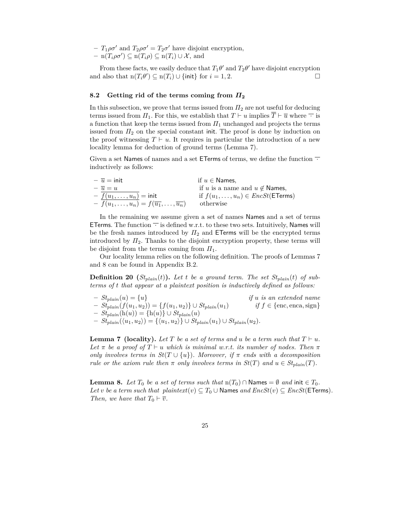- $-T_1\rho\sigma'$  and  $T_2\rho\sigma' = T_2\sigma'$  have disjoint encryption,
- $n(T_i \rho \sigma') \subseteq n(T_i \rho) \subseteq n(T_i) \cup \mathcal{X}$ , and

From these facts, we easily deduce that  $T_1\theta'$  and  $T_2\theta'$  have disjoint encryption and also that  $n(T_i \theta') \subseteq n(T_i) \cup \{\text{init}\}$  for  $i = 1, 2$ .

# **8.2 Getting rid of the terms coming from** *Π***<sup>2</sup>**

In this subsection, we prove that terms issued from  $\Pi_2$  are not useful for deducing terms issued from  $\Pi_1$ . For this, we establish that  $T \vdash u$  implies  $\overline{T} \vdash \overline{u}$  where  $\overline{\cdot}$  is a function that keep the terms issued from  $\Pi_1$  unchanged and projects the terms issued from  $\Pi_2$  on the special constant init. The proof is done by induction on the proof witnessing  $T \vdash u$ . It requires in particular the introduction of a new locality lemma for deduction of ground terms (Lemma 7).

Given a set Names of names and a set ETerms of terms, we define the function  $\overline{\cdot}$ inductively as follows:

| $-\overline{u} = \text{init}$                                | if $u \in$ Names,                                 |
|--------------------------------------------------------------|---------------------------------------------------|
| $-\bar{u}=u$                                                 | if u is a name and $u \notin$ Names,              |
| $-f(u_1,\ldots,u_n) = \text{init}$                           | if $f(u_1, \ldots, u_n) \in EncSt(\text{ETerms})$ |
| $-f(u_1,\ldots,u_n)=f(\overline{u_1},\ldots,\overline{u_n})$ | otherwise                                         |

In the remaining we assume given a set of names Names and a set of terms ETerms. The function  $\overline{\cdot}$  is defined w.r.t. to these two sets. Intuitively, Names will be the fresh names introduced by  $\Pi_2$  and ETerms will be the encrypted terms introduced by  $\Pi_2$ . Thanks to the disjoint encryption property, these terms will be disjoint from the terms coming from *Π*1.

Our locality lemma relies on the following definition. The proofs of Lemmas 7 and 8 can be found in Appendix B.2.

**Definition 20**  $(St<sub>plain</sub>(t))$ . Let *t* be a ground term. The set  $St<sub>plain</sub>(t)$  of sub*terms of t that appear at a plaintext position is inductively defined as follows:*

 $-St_{plain}(u) = \{u\}$  *if u is an extended name* **–** *Stplain*(*f*(*u*1*, u*2)) = *{f*(*u*1*, u*2)*} ∪ Stplain*(*u*1) *if f ∈ {*enc*,* enca*,*sign*}*  $St_{plain}(h(u)) = \{h(u)\} \cup St_{plain}(u)$  $St_{plain}(\langle u_1, u_2 \rangle) = {\langle u_1, u_2 \rangle} \cup St_{plain}(u_1) \cup St_{plain}(u_2).$ 

**Lemma 7 (locality).** *Let*  $T$  *be a set of terms and*  $u$  *be a term such that*  $T \vdash u$ *.* Let  $\pi$  be a proof of  $T \vdash u$  which is minimal w.r.t. its number of nodes. Then  $\pi$ *only involves terms in*  $St(T \cup \{u\})$ *. Moreover, if*  $\pi$  *ends with a decomposition rule or the axiom rule then*  $\pi$  *only involves terms in*  $St(T)$  *and*  $u \in St_{plain}(T)$ *.* 

**Lemma 8.** *Let*  $T_0$  *be a set of terms such that*  $n(T_0) \cap \mathbb{N}$  and  $\in \emptyset$  *and*  $\text{init} \in T_0$ *. Let v be a term such that plaintext*(*v*)  $\subseteq T_0 \cup$  Names *and EncSt*(*v*)  $\subseteq$  *EncSt*(**ETerms**)*. Then, we have that*  $T_0 \vdash \overline{v}$ *.*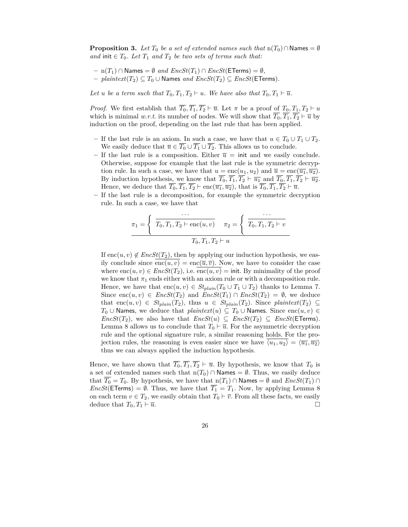**Proposition 3.** *Let*  $T_0$  *be a set of extended names such that*  $n(T_0) \cap \mathsf{Names} = \emptyset$ *and*  $\text{init} \in T_0$ *. Let*  $T_1$  *and*  $T_2$  *be two sets of terms such that:* 

- $-$  n(*T*<sub>1</sub>) ∩ Names =  $\emptyset$  *and EncSt*(*T*<sub>1</sub>) ∩ *EncSt*(**ETerms**) =  $\emptyset$ *,*
- $−$  *plaintext*( $T_2$ )  $\subseteq T_0 ∪$  Names *and EncSt*( $T_2$ )  $\subseteq$  *EncSt*(**ETerms**).

*Let u be a term such that*  $T_0, T_1, T_2 \vdash u$ *. We have also that*  $T_0, T_1 \vdash \overline{u}$ *.* 

*Proof.* We first establish that  $\overline{T_0}, \overline{T_1}, \overline{T_2} \vdash \overline{u}$ . Let  $\pi$  be a proof of  $T_0, T_1, T_2 \vdash u$ which is minimal *w.r.t.* its number of nodes. We will show that  $\overline{T_0}, \overline{T_1}, \overline{T_2} \vdash \overline{u}$  by induction on the proof, depending on the last rule that has been applied.

- $-$  If the last rule is an axiom. In such a case, we have that  $u \in T_0 \cup T_1 \cup T_2$ . We easily deduce that  $\overline{u} \in \overline{T_0} \cup \overline{T_1} \cup \overline{T_2}$ . This allows us to conclude.
- If the last rule is a composition. Either  $\overline{u}$  = init and we easily conclude. Otherwise, suppose for example that the last rule is the symmetric decryption rule. In such a case, we have that  $u = \text{enc}(u_1, u_2)$  and  $\overline{u} = \text{enc}(\overline{u_1}, \overline{u_2})$ . By induction hypothesis, we know that  $\overline{T_0}, \overline{T_1}, \overline{T_2} \vdash \overline{u_1}$  and  $\overline{T_0}, \overline{T_1}, \overline{T_2} \vdash \overline{u_2}$ . Hence, we deduce that  $\overline{T_0}, \overline{T_1}, \overline{T_2} \vdash \text{enc}(\overline{u_1}, \overline{u_2})$ , that is  $\overline{T_0}, \overline{T_1}, \overline{T_2} \vdash \overline{u}$ .
- **–** If the last rule is a decomposition, for example the symmetric decryption rule. In such a case, we have that

$$
\pi_1 = \begin{cases} \frac{\dots}{T_0, T_1, T_2 \vdash \text{enc}(u, v)} & \pi_2 = \begin{cases} \frac{\dots}{T_0, T_1, T_2 \vdash v} \\ T_0, T_1, T_2 \vdash u \end{cases} \end{cases}
$$

If enc $(u, v) \notin EncSt(T_2)$ , then by applying our induction hypothesis, we easily conclude since  $enc(u, v) = enc(\overline{u}, \overline{v})$ . Now, we have to consider the case where  $enc(u, v) \in EncSt(T_2)$ , i.e.  $enc(u, v) = \text{init}$ . By minimality of the proof we know that  $\pi_1$  ends either with an axiom rule or with a decomposition rule. Hence, we have that enc $(u, v) \in St_{plain}(T_0 \cup T_1 \cup T_2)$  thanks to Lemma 7. Since enc $(u, v) \in EncSt(T_2)$  and  $EncSt(T_1) \cap EncSt(T_2) = \emptyset$ , we deduce that enc $(u, v) \in St_{plain}(T_2)$ , thus  $u \in St_{plain}(T_2)$ . Since *plaintext* $(T_2) \subseteq$ *T*<sub>0</sub> *∪* Names, we deduce that *plaintext*(*u*)  $\subseteq$  *T*<sub>0</sub> *∪* Names. Since enc(*u, v*)  $\in$ *EncSt*(*T*<sub>2</sub>), we also have that  $EncSt(u) \subseteq EncSt(T_2) \subseteq EncSt(\text{ETerms}).$ Lemma 8 allows us to conclude that  $T_0 \vdash \overline{u}$ . For the asymmetric decryption rule and the optional signature rule, a similar reasoning holds. For the projection rules, the reasoning is even easier since we have  $\langle u_1, u_2 \rangle = \langle \overline{u_1}, \overline{u_2} \rangle$ thus we can always applied the induction hypothesis.

Hence, we have shown that  $\overline{T_0}, \overline{T_1}, \overline{T_2} \vdash \overline{u}$ . By hypothesis, we know that  $T_0$  is a set of extended names such that  $n(T_0) \cap$  **Names** =  $\emptyset$ . Thus, we easily deduce that  $\overline{T_0} = T_0$ . By hypothesis, we have that  $n(T_1) \cap \mathsf{Names} = \emptyset$  and  $EncSt(T_1) \cap \emptyset$ *EncSt*(ETerms) =  $\emptyset$ . Thus, we have that  $\overline{T_1} = T_1$ . Now, by applying Lemma 8 on each term  $v \in T_2$ , we easily obtain that  $T_0 \vdash \overline{v}$ . From all these facts, we easily deduce that  $T_0, T_1 \vdash \overline{u}$ .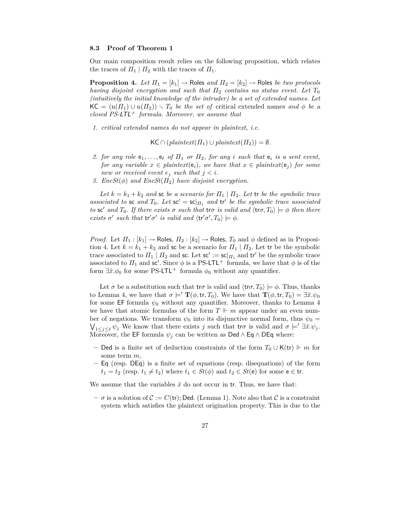### **8.3 Proof of Theorem 1**

Our main composition result relies on the following proposition, which relates the traces of  $\Pi_1 \mid \Pi_2$  with the traces of  $\Pi_1$ .

**Proposition 4.** *Let*  $\Pi_1 = [k_1] \rightarrow$  Roles *and*  $\Pi_2 = [k_2] \rightarrow$  Roles *be two protocols having disjoint encryption and such that*  $\Pi_2$  *contains no status event. Let*  $T_0$ *(intuitively the initial knowledge of the intruder) be a set of extended names. Let*  $\mathsf{KC} = (\mathrm{n}(H_1) \cup \mathrm{n}(H_2)) \setminus T_0$  *be the set of* critical extended names *and*  $\phi$  *be a closed PS-*LTL*<sup>+</sup> formula. Moreover, we assume that*

*1. critical extended names do not appear in plaintext, i.e.*

 $\mathsf{KC} \cap (\mathit{plaintext}(H_1) \cup \mathit{plaintext}(H_2)) = \emptyset.$ 

- 2. for any role  $e_1, \ldots, e_\ell$  of  $\Pi_1$  or  $\Pi_2$ , for any *i* such that  $e_i$  *is a sent event, for any variable*  $x \in plaintext(e_i)$ *, we have that*  $x \in plaintext(e_i)$  *for some new or received event*  $e_j$  *such that*  $j < i$ *.*
- *3. EncSt*(*φ*) *and EncSt*(*Π*2) *have disjoint encryption.*

*Let*  $k = k_1 + k_2$  *and* sc *be a scenario for*  $\Pi_1 \mid \Pi_2$ *. Let* tr *be the symbolic trace associated to* sc *and*  $T_0$ *. Let* sc' = sc| $_{\Pi_1}$  *and* tr' *be the symbolic trace associated to* sc<sup>*'*</sup> *and*  $T_0$ *. If there exists*  $\sigma$  *such that* tr $\sigma$  *is valid and*  $\langle$ tr $\sigma, T_0 \rangle \models \phi$  *then there exists*  $\sigma'$  *such that*  $tr'\sigma'$  *is valid and*  $\langle tr'\sigma', T_0 \rangle \models \phi$ *.* 

*Proof.* Let  $\Pi_1 : [k_1] \to \text{Roles}, \Pi_2 : [k_2] \to \text{Roles}, T_0 \text{ and } \phi \text{ defined as in Proposition } \mathbb{R}$ tion 4. Let  $k = k_1 + k_2$  and sc be a scenario for  $\Pi_1 \mid \Pi_2$ . Let tr be the symbolic trace associated to  $\Pi_1 \mid \Pi_2$  and sc. Let sc' := sc|<sub>*Π*<sub>1</sub></sub> and tr' be the symbolic trace associated to  $\Pi_1$  and  $\mathsf{sc}'$ . Since  $\phi$  is a PS-LTL<sup>+</sup> formula, we have that  $\phi$  is of the form  $\exists \tilde{x}.\phi_0$  for some PS-LTL<sup>+</sup> formula  $\phi_0$  without any quantifier.

Let  $\sigma$  be a substitution such that tr $\sigma$  is valid and  $\langle$ tr $\sigma, T_0 \rangle \models \phi$ . Thus, thanks to Lemma 4, we have that  $\sigma \models' \mathbf{T}(\phi, \mathsf{tr}, T_0)$ . We have that  $\mathbf{T}(\phi, \mathsf{tr}, T_0) = \exists \tilde{x} \cdot \psi_0$ for some EF formula  $\psi_0$  without any quantifier. Moreover, thanks to Lemma 4 we have that atomic formulas of the form  $T \Vdash m$  appear under an even number of negations. We transform  $\psi_0$  into its disjunctive normal form, thus  $\psi_0 =$  $\bigvee_{1 \leq j \leq \ell} \psi_j$  We know that there exists *j* such that tr $\sigma$  is valid and  $\sigma \models' \exists \tilde{x}.\psi_j$ . Moreover, the EF formula  $\psi_j$  can be written as Ded  $\wedge$  Eq  $\wedge$  DEq where:

- **–** Ded is a finite set of deduction constraints of the form *T*<sup>0</sup> *∪* K(tr) *m* for some term *m*,
- **–** Eq (resp. DEq) is a finite set of equations (resp. disequations) of the form  $t_1 = t_2$  (resp.  $t_1 \neq t_2$ ) where  $t_1 \in St(\phi)$  and  $t_2 \in St(e)$  for some  $e \in tr$ .

We assume that the variables  $\tilde{x}$  do not occur in tr. Thus, we have that:

 $-\sigma$  is a solution of  $\mathcal{C} := C(\mathsf{tr})$ ; Ded. (Lemma 1). Note also that  $\mathcal{C}$  is a constraint system which satisfies the plaintext origination property. This is due to the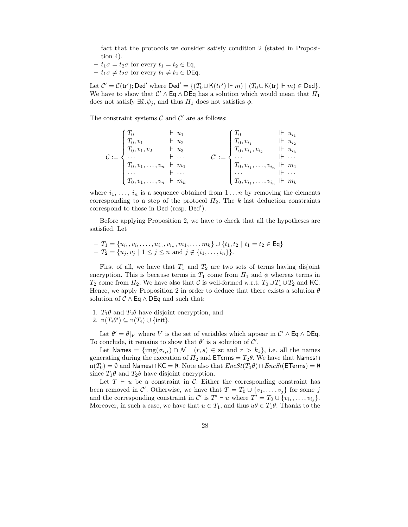fact that the protocols we consider satisfy condition 2 (stated in Proposition 4).

- $t_1 \sigma = t_2 \sigma$  for every  $t_1 = t_2 \in \textsf{Eq},$
- $t_1 \sigma \neq t_2 \sigma$  for every  $t_1 \neq t_2 \in \mathsf{DEq}$ .

Let  $\mathcal{C}' = \mathcal{C}(\mathsf{tr}'); \mathsf{Ded}'$  where  $\mathsf{Ded}' = \{ (T_0 \cup \mathsf{K}(tr') \Vdash m) \mid (T_0 \cup \mathsf{K}(\mathsf{tr}) \Vdash m) \in \mathsf{Ded} \}.$ We have to show that  $\mathcal{C}' \wedge \mathsf{Eq} \wedge \mathsf{DEq}$  has a solution which would mean that  $\Pi_1$ does not satisfy  $\exists \tilde{x}.\psi_j$ , and thus  $\Pi_1$  does not satisfies  $\phi$ .

The constraint systems  $C$  and  $C'$  are as follows:

$$
\mathcal{C} := \begin{cases}\nT_0 & \Vdash u_1 \\
T_0, v_1 & \Vdash u_2 \\
T_0, v_1, v_2 & \Vdash u_3 \\
\cdots & \Vdash \cdots \\
T_0, v_1, \ldots, v_n & \Vdash m_1 \\
\cdots & \cdots & \cdots \\
T_0, v_1, \ldots, v_n & \Vdash m_k\n\end{cases}\n\qquad\n\mathcal{C}' := \begin{cases}\nT_0 & \Vdash u_{i_1} \\
T_0, v_{i_1} & \Vdash u_{i_2} \\
T_0, v_{i_1}, v_{i_2} & \Vdash u_{i_3} \\
\cdots & \Vdash \cdots \\
T_0, v_{i_1}, \ldots, v_{i_n} & \Vdash m_1 \\
\cdots & \cdots & \cdots \\
T_0, v_{i_1}, \ldots, v_{i_n} & \Vdash m_k\n\end{cases}
$$

where  $i_1, \ldots, i_n$  is a sequence obtained from  $1 \ldots n$  by removing the elements corresponding to a step of the protocol  $\Pi_2$ . The *k* last deduction constraints correspond to those in Ded (resp. Ded*′* ).

Before applying Proposition 2, we have to check that all the hypotheses are satisfied. Let

$$
-T_1 = \{u_{i_1}, v_{i_1}, \dots, u_{i_n}, v_{i_n}, m_1, \dots, m_k\} \cup \{t_1, t_2 \mid t_1 = t_2 \in \text{Eq}\}\
$$
  
-  $T_2 = \{u_j, v_j \mid 1 \le j \le n \text{ and } j \notin \{i_1, \dots, i_n\}\}.$ 

First of all, we have that  $T_1$  and  $T_2$  are two sets of terms having disjoint encryption. This is because terms in  $T_1$  come from  $\Pi_1$  and  $\phi$  whereas terms in *T*<sub>2</sub> come from *Π*<sub>2</sub>. We have also that *C* is well-formed w.r.t.  $T_0 \cup T_1 \cup T_2$  and KC. Hence, we apply Proposition 2 in order to deduce that there exists a solution *θ* solution of  $C \wedge \textsf{Eq} \wedge \textsf{DEq}$  and such that:

- 1.  $T_1\theta$  and  $T_2\theta$  have disjoint encryption, and
- 2.  $n(T_i \theta') \subseteq n(T_i) \cup \{\text{init}\}.$

Let  $\theta' = \theta|_V$  where *V* is the set of variables which appear in  $\mathcal{C}' \wedge \mathsf{Eq} \wedge \mathsf{DEq}$ . To conclude, it remains to show that  $\theta'$  is a solution of  $\mathcal{C}'$ .

Let Names =  $\{\text{img}(\sigma_{r,s}) \cap \mathcal{N} \mid (r,s) \in \text{sc} \text{ and } r > k_1\}, \text{ i.e. all the names }$ generating during the execution of  $\Pi_2$  and **ETerms** =  $T_2\theta$ . We have that Names $\cap$  $n(T_0) = \emptyset$  and Names∩KC =  $\emptyset$ . Note also that  $EncSt(T_1\theta) \cap EncSt(\text{ETerms}) = \emptyset$ since  $T_1\theta$  and  $T_2\theta$  have disjoint encryption.

Let  $T \vdash u$  be a constraint in C. Either the corresponding constraint has been removed in  $\mathcal{C}'$ . Otherwise, we have that  $T = T_0 \cup \{v_1, \ldots, v_j\}$  for some *j* and the corresponding constraint in  $\mathcal{C}'$  is  $T' \vdash u$  where  $T' = T_0 \cup \{v_{i_1}, \ldots, v_{i_j}\}.$ Moreover, in such a case, we have that  $u \in T_1$ , and thus  $u\theta \in T_1\theta$ . Thanks to the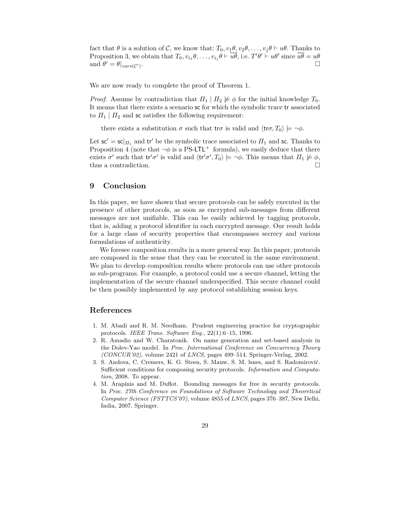fact that  $\theta$  is a solution of  $\mathcal{C}$ , we know that:  $T_0, v_1\theta, v_2\theta, \ldots, v_i\theta \vdash u\theta$ . Thanks to Proposition 3, we obtain that  $T_0, v_{i_1}\theta, \ldots, v_{i_j}\theta \vdash \overline{u\theta}$ , i.e.  $T'\theta' \vdash u\theta'$  since  $\overline{u\theta} = u\theta$ and  $\theta' = \theta|_{vars(\mathcal{C}')}$ . В последните поставите на политички и поставите на политички и поставите на политички и поставите и политичк<br>В политички и политички и политички и политички и политички и политички и политички и политички и политички и<br>

We are now ready to complete the proof of Theorem 1.

*Proof.* Assume by contradiction that  $\Pi_1 \mid \Pi_2 \not\models \phi$  for the initial knowledge  $T_0$ . It means that there exists a scenario sc for which the symbolic trace tr associated to  $\Pi_1 \mid \Pi_2$  and sc satisfies the following requirement:

there exists a substitution  $\sigma$  such that tr $\sigma$  is valid and  $\langle$ tr $\sigma, T_0 \rangle \models \neg \phi$ .

Let  $\mathsf{sc}' = \mathsf{sc}|_{\Pi_1}$  and  $\mathsf{tr}'$  be the symbolic trace associated to  $\Pi_1$  and  $\mathsf{sc}$ . Thanks to Proposition 4 (note that  $\neg \phi$  is a PS-LTL<sup>+</sup> formula), we easily deduce that there exists  $\sigma'$  such that  $tr'\sigma'$  is valid and  $\langle tr'\sigma', T_0 \rangle \models \neg \phi$ . This means that  $\Pi_1 \not\models \phi$ , thus a contradiction.  $\Box$ 

# **9 Conclusion**

In this paper, we have shown that secure protocols can be safely executed in the presence of other protocols, as soon as encrypted sub-messages from different messages are not unifiable. This can be easily achieved by tagging protocols, that is, adding a protocol identifier in each encrypted message. Our result holds for a large class of security properties that encompasses secrecy and various formulations of authenticity.

We foresee composition results in a more general way. In this paper, protocols are composed in the sense that they can be executed in the same environment. We plan to develop composition results where protocols can use other protocols as sub-programs. For example, a protocol could use a secure channel, letting the implementation of the secure channel underspecified. This secure channel could be then possibly implemented by any protocol establishing session keys.

# **References**

- 1. M. Abadi and R. M. Needham. Prudent engineering practice for cryptographic protocols. *IEEE Trans. Software Eng.*, 22(1):6–15, 1996.
- 2. R. Amadio and W. Charatonik. On name generation and set-based analysis in the Dolev-Yao model. In *Proc. International Conference on Concurrency Theory (CONCUR'02)*, volume 2421 of *LNCS*, pages 499–514. Springer-Verlag, 2002.
- 3. S. Andova, C. Cremers, K. G. Steen, S. Mauw, S. M. lsnes, and S. Radomirović. Sufficient conditions for composing security protocols. *Information and Computation*, 2008. To appear.
- 4. M. Arapinis and M. Duflot. Bounding messages for free in security protocols. In *Proc. 27th Conference on Foundations of Software Technology and Theoretical Computer Science (FSTTCS'07)*, volume 4855 of *LNCS*, pages 376–387, New Delhi, India, 2007. Springer.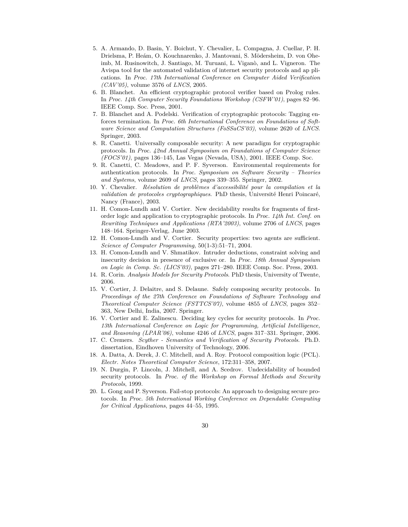- 5. A. Armando, D. Basin, Y. Boichut, Y. Chevalier, L. Compagna, J. Cuellar, P. H. Drielsma, P. Heám, O. Kouchnarenko, J. Mantovani, S. Mödersheim, D. von Oheimb, M. Rusinowitch, J. Santiago, M. Turuani, L. Viganò, and L. Vigneron. The Avispa tool for the automated validation of internet security protocols and ap plications. In *Proc. 17th International Conference on Computer Aided Verification (CAV'05)*, volume 3576 of *LNCS*, 2005.
- 6. B. Blanchet. An efficient cryptographic protocol verifier based on Prolog rules. In *Proc. 14th Computer Security Foundations Workshop (CSFW'01)*, pages 82–96. IEEE Comp. Soc. Press, 2001.
- 7. B. Blanchet and A. Podelski. Verification of cryptographic protocols: Tagging enforces termination. In *Proc. 6th International Conference on Foundations of Software Science and Computation Structures (FoSSaCS'03)*, volume 2620 of *LNCS*. Springer, 2003.
- 8. R. Canetti. Universally composable security: A new paradigm for cryptographic protocols. In *Proc. 42nd Annual Symposium on Foundations of Computer Science (FOCS'01)*, pages 136–145, Las Vegas (Nevada, USA), 2001. IEEE Comp. Soc.
- 9. R. Canetti, C. Meadows, and P. F. Syverson. Environmental requirements for authentication protocols. In *Proc. Symposium on Software Security – Theories and Systems*, volume 2609 of *LNCS*, pages 339–355. Springer, 2002.
- 10. Y. Chevalier. *Résolution de problèmes d'accessibilité pour la compilation et la validation de protocoles cryptographiques*. PhD thesis, Université Henri Poincaré, Nancy (France), 2003.
- 11. H. Comon-Lundh and V. Cortier. New decidability results for fragments of firstorder logic and application to cryptographic protocols. In *Proc. 14th Int. Conf. on Rewriting Techniques and Applications (RTA'2003)*, volume 2706 of *LNCS*, pages 148–164. Springer-Verlag, June 2003.
- 12. H. Comon-Lundh and V. Cortier. Security properties: two agents are sufficient. *Science of Computer Programming*, 50(1-3):51–71, 2004.
- 13. H. Comon-Lundh and V. Shmatikov. Intruder deductions, constraint solving and insecurity decision in presence of exclusive or. In *Proc. 18th Annual Symposium on Logic in Comp. Sc. (LICS'03)*, pages 271–280. IEEE Comp. Soc. Press, 2003.
- 14. R. Corin. *Analysis Models for Security Protocols*. PhD thesis, University of Twente, 2006.
- 15. V. Cortier, J. Delaitre, and S. Delaune. Safely composing security protocols. In *Proceedings of the 27th Conference on Foundations of Software Technology and Theoretical Computer Science (FSTTCS'07)*, volume 4855 of *LNCS*, pages 352– 363, New Delhi, India, 2007. Springer.
- 16. V. Cortier and E. Zalinescu. Deciding key cycles for security protocols. In *Proc. 13th International Conference on Logic for Programming, Artificial Intelligence, and Reasoning (LPAR'06)*, volume 4246 of *LNCS*, pages 317–331. Springer, 2006.
- 17. C. Cremers. *Scyther Semantics and Verification of Security Protocols*. Ph.D. dissertation, Eindhoven University of Technology, 2006.
- 18. A. Datta, A. Derek, J. C. Mitchell, and A. Roy. Protocol composition logic (PCL). *Electr. Notes Theoretical Computer Science*, 172:311–358, 2007.
- 19. N. Durgin, P. Lincoln, J. Mitchell, and A. Scedrov. Undecidability of bounded security protocols. In *Proc. of the Workshop on Formal Methods and Security Protocols*, 1999.
- 20. L. Gong and P. Syverson. Fail-stop protocols: An approach to designing secure protocols. In *Proc. 5th International Working Conference on Dependable Computing for Critical Applications*, pages 44–55, 1995.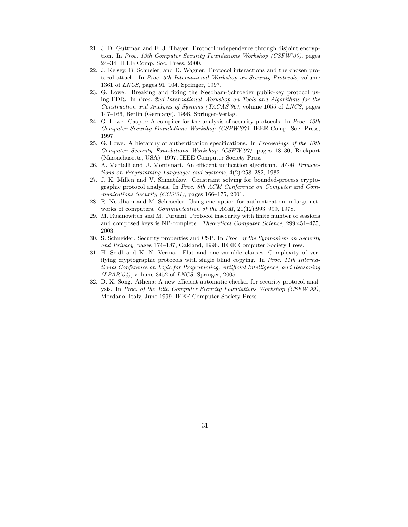- 21. J. D. Guttman and F. J. Thayer. Protocol independence through disjoint encryption. In *Proc. 13th Computer Security Foundations Workshop (CSFW'00)*, pages 24–34. IEEE Comp. Soc. Press, 2000.
- 22. J. Kelsey, B. Schneier, and D. Wagner. Protocol interactions and the chosen protocol attack. In *Proc. 5th International Workshop on Security Protocols*, volume 1361 of *LNCS*, pages 91–104. Springer, 1997.
- 23. G. Lowe. Breaking and fixing the Needham-Schroeder public-key protocol using FDR. In *Proc. 2nd International Workshop on Tools and Algorithms for the Construction and Analysis of Systems (TACAS'96)*, volume 1055 of *LNCS*, pages 147–166, Berlin (Germany), 1996. Springer-Verlag.
- 24. G. Lowe. Casper: A compiler for the analysis of security protocols. In *Proc. 10th Computer Security Foundations Workshop (CSFW'97)*. IEEE Comp. Soc. Press, 1997.
- 25. G. Lowe. A hierarchy of authentication specifications. In *Proceedings of the 10th Computer Security Foundations Workshop (CSFW'97)*, pages 18–30, Rockport (Massachusetts, USA), 1997. IEEE Computer Society Press.
- 26. A. Martelli and U. Montanari. An efficient unification algorithm. *ACM Transactions on Programming Languages and Systems*, 4(2):258–282, 1982.
- 27. J. K. Millen and V. Shmatikov. Constraint solving for bounded-process cryptographic protocol analysis. In *Proc. 8th ACM Conference on Computer and Communications Security (CCS'01)*, pages 166–175, 2001.
- 28. R. Needham and M. Schroeder. Using encryption for authentication in large networks of computers. *Communication of the ACM*, 21(12):993–999, 1978.
- 29. M. Rusinowitch and M. Turuani. Protocol insecurity with finite number of sessions and composed keys is NP-complete. *Theoretical Computer Science*, 299:451–475, 2003.
- 30. S. Schneider. Security properties and CSP. In *Proc. of the Symposium on Security and Privacy*, pages 174–187, Oakland, 1996. IEEE Computer Society Press.
- 31. H. Seidl and K. N. Verma. Flat and one-variable clauses: Complexity of verifying cryptographic protocols with single blind copying. In *Proc. 11th International Conference on Logic for Programming, Artificial Intelligence, and Reasoning (LPAR'04)*, volume 3452 of *LNCS*. Springer, 2005.
- 32. D. X. Song. Athena: A new efficient automatic checker for security protocol analysis. In *Proc. of the 12th Computer Security Foundations Workshop (CSFW'99)*, Mordano, Italy, June 1999. IEEE Computer Society Press.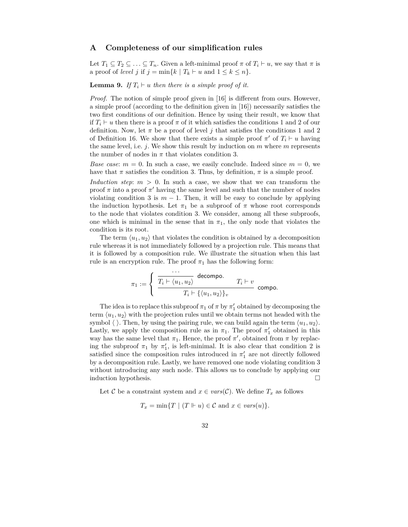# **A Completeness of our simplification rules**

Let  $T_1 \subseteq T_2 \subseteq \ldots \subseteq T_n$ . Given a left-minimal proof  $\pi$  of  $T_i \vdash u$ , we say that  $\pi$  is a proof of *level j* if  $j = \min\{k \mid T_k \vdash u \text{ and } 1 \leq k \leq n\}.$ 

# **Lemma 9.** *If*  $T_i \vdash u$  *then there is a simple proof of it.*

*Proof.* The notion of simple proof given in [16] is different from ours. However, a simple proof (according to the definition given in [16]) necessarily satisfies the two first conditions of our definition. Hence by using their result, we know that if  $T_i \vdash u$  then there is a proof  $\pi$  of it which satisfies the conditions 1 and 2 of our definition. Now, let  $\pi$  be a proof of level *j* that satisfies the conditions 1 and 2 of Definition 16. We show that there exists a simple proof  $\pi'$  of  $T_i \vdash u$  having the same level, i.e. *j*. We show this result by induction on *m* where *m* represents the number of nodes in  $\pi$  that violates condition 3.

*Base case:*  $m = 0$ . In such a case, we easily conclude. Indeed since  $m = 0$ , we have that  $\pi$  satisfies the condition 3. Thus, by definition,  $\pi$  is a simple proof.

*Induction step*:  $m > 0$ . In such a case, we show that we can transform the proof  $\pi$  into a proof  $\pi'$  having the same level and such that the number of nodes violating condition 3 is  $m-1$ . Then, it will be easy to conclude by applying the induction hypothesis. Let  $\pi_1$  be a subproof of  $\pi$  whose root corresponds to the node that violates condition 3. We consider, among all these subproofs, one which is minimal in the sense that in  $\pi_1$ , the only node that violates the condition is its root.

The term  $\langle u_1, u_2 \rangle$  that violates the condition is obtained by a decomposition rule whereas it is not immediately followed by a projection rule. This means that it is followed by a composition rule. We illustrate the situation when this last rule is an encryption rule. The proof  $\pi_1$  has the following form:

$$
\pi_1 := \left\{ \begin{array}{ll} \displaystyle \frac{\cdots}{T_i \vdash \langle u_1, u_2 \rangle} \text{ decompo.} & \quad T_i \vdash v \\ \hline & \quad \tau_i \vdash \{\langle u_1, u_2 \rangle\}_v & \text{compo.} \end{array} \right.
$$

The idea is to replace this subproof  $\pi_1$  of  $\pi$  by  $\pi'_1$  obtained by decomposing the term  $\langle u_1, u_2 \rangle$  with the projection rules until we obtain terms not headed with the symbol  $\langle \rangle$ . Then, by using the pairing rule, we can build again the term  $\langle u_1, u_2 \rangle$ . Lastly, we apply the composition rule as in  $\pi_1$ . The proof  $\pi'_1$  obtained in this way has the same level that  $\pi_1$ . Hence, the proof  $\pi'$ , obtained from  $\pi$  by replacing the subproof  $\pi_1$  by  $\pi'_1$ , is left-minimal. It is also clear that condition 2 is satisfied since the composition rules introduced in  $\pi'_1$  are not directly followed by a decomposition rule. Lastly, we have removed one node violating condition 3 without introducing any such node. This allows us to conclude by applying our induction hypothesis.

Let *C* be a constraint system and  $x \in vars(\mathcal{C})$ . We define  $T_x$  as follows

$$
T_x = \min\{T \mid (T \Vdash u) \in \mathcal{C} \text{ and } x \in vars(u)\}.
$$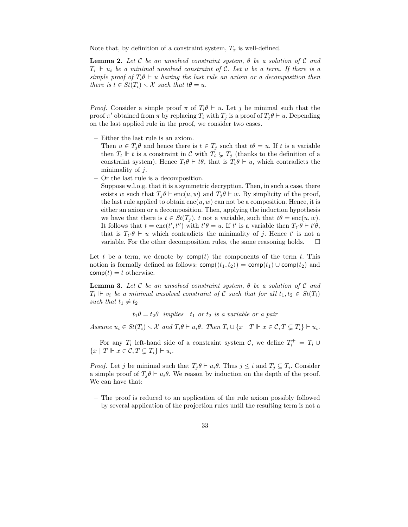Note that, by definition of a constraint system,  $T_x$  is well-defined.

**Lemma 2.** Let C be an unsolved constraint system,  $\theta$  be a solution of C and  $T_i \Vdash u_i$  *be a minimal unsolved constraint of* C. Let *u be a term. If there is a simple proof of*  $T_i\theta$  *⊢ u having the last rule an axiom or a decomposition then there is*  $t \in St(T_i) \setminus \mathcal{X}$  *such that*  $t\theta = u$ *.* 

*Proof.* Consider a simple proof  $\pi$  of  $T_i\theta \vdash u$ . Let *j* be minimal such that the proof  $\pi'$  obtained from  $\pi$  by replacing  $T_i$  with  $T_j$  is a proof of  $T_j \theta \vdash u$ . Depending on the last applied rule in the proof, we consider two cases.

**–** Either the last rule is an axiom.

Then  $u \in T_j \theta$  and hence there is  $t \in T_j$  such that  $t\theta = u$ . If *t* is a variable then  $T_t \Vdash t$  is a constraint in C with  $T_t \subsetneq T_j$  (thanks to the definition of a constraint system). Hence  $T_t\theta \vdash t\theta$ , that is  $T_t\theta \vdash u$ , which contradicts the minimality of *j*.

**–** Or the last rule is a decomposition.

Suppose w.l.o.g. that it is a symmetric decryption. Then, in such a case, there exists *w* such that  $T_i\theta \vdash \text{enc}(u, w)$  and  $T_i\theta \vdash w$ . By simplicity of the proof, the last rule applied to obtain  $enc(u, w)$  can not be a composition. Hence, it is either an axiom or a decomposition. Then, applying the induction hypothesis we have that there is  $t \in St(T_i)$ , *t* not a variable, such that  $t\theta = enc(u, w)$ . It follows that  $t = \text{enc}(t', t'')$  with  $t'\theta = u$ . If  $t'$  is a variable then  $T_{t'}\theta \vdash t'\theta$ , that is  $T_{t'}\theta \vdash u$  which contradicts the minimality of *j*. Hence  $t'$  is not a variable. For the other decomposition rules, the same reasoning holds.  $\Box$ 

Let  $t$  be a term, we denote by  $\text{comp}(t)$  the components of the term  $t$ . This notion is formally defined as follows:  $\text{comp}(\langle t_1, t_2 \rangle) = \text{comp}(t_1) \cup \text{comp}(t_2)$  and  $\text{comp}(t) = t$  otherwise.

**Lemma 3.** Let C be an unsolved constraint system,  $\theta$  be a solution of C and  $T_i \Vdash v_i$  *be a minimal unsolved constraint of*  $C$  *such that for all*  $t_1, t_2 \in St(T_i)$ *such that*  $t_1 \neq t_2$ 

 $t_1\theta = t_2\theta$  *implies*  $t_1$  *or*  $t_2$  *is a variable or a pair* 

Assume  $u_i \in St(T_i) \setminus \mathcal{X}$  and  $T_i \theta \vdash u_i \theta$ . Then  $T_i \cup \{x \mid T \Vdash x \in \mathcal{C}, T \subseteq T_i\} \vdash u_i$ .

For any  $T_i$  left-hand side of a constraint system  $\mathcal{C}$ , we define  $T_i^+ = T_i \cup$  ${x \mid T \Vdash x \in \mathcal{C}, T \subsetneq T_i}$  *⊢ u*<sub>*i*</sub>.

*Proof.* Let *j* be minimal such that  $T_j \theta \vdash u_i \theta$ . Thus  $j \leq i$  and  $T_j \subseteq T_i$ . Consider a simple proof of  $T_i\theta \vdash u_i\theta$ . We reason by induction on the depth of the proof. We can have that:

**–** The proof is reduced to an application of the rule axiom possibly followed by several application of the projection rules until the resulting term is not a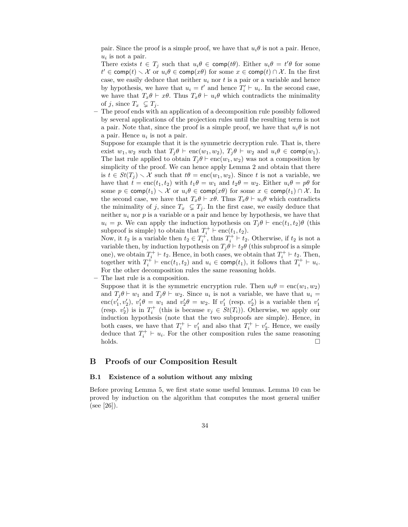pair. Since the proof is a simple proof, we have that  $u_i\theta$  is not a pair. Hence, *ui* is not a pair.

There exists  $t \in T_j$  such that  $u_i \theta \in \text{comp}(t\theta)$ . Either  $u_i \theta = t' \theta$  for some *t*'  $\in$  comp(*t*)  $\setminus$  *X* or *u<sub>i</sub>* $\theta$   $\in$  comp(*x* $\theta$ ) for some *x*  $\in$  comp(*t*)  $\cap$  *X*. In the first case, we easily deduce that neither  $u_i$  nor  $t$  is a pair or a variable and hence by hypothesis, we have that  $u_i = t'$  and hence  $T'_i \vdash u_i$ . In the second case, we have that  $T_x\theta \vdash x\theta$ . Thus  $T_x\theta \vdash u_i\theta$  which contradicts the minimality of *j*, since  $T_x \subseteq T_j$ .

**–** The proof ends with an application of a decomposition rule possibly followed by several applications of the projection rules until the resulting term is not a pair. Note that, since the proof is a simple proof, we have that  $u_i\theta$  is not a pair. Hence *u<sup>i</sup>* is not a pair.

Suppose for example that it is the symmetric decryption rule. That is, there exist  $w_1, w_2$  such that  $T_j \theta \vdash \text{enc}(w_1, w_2), T_j \theta \vdash w_2$  and  $u_i \theta \in \text{comp}(w_1)$ . The last rule applied to obtain  $T_i\theta \vdash \text{enc}(w_1, w_2)$  was not a composition by simplicity of the proof. We can hence apply Lemma 2 and obtain that there is  $t \in St(T_i) \setminus \mathcal{X}$  such that  $t\theta = \text{enc}(w_1, w_2)$ . Since *t* is not a variable, we have that  $t = \text{enc}(t_1, t_2)$  with  $t_1\theta = w_1$  and  $t_2\theta = w_2$ . Either  $u_i\theta = p\theta$  for some  $p \in \text{comp}(t_1) \setminus \mathcal{X}$  or  $u_i \theta \in \text{comp}(x\theta)$  for some  $x \in \text{comp}(t_1) \cap \mathcal{X}$ . In the second case, we have that  $T_x\theta \vdash x\theta$ . Thus  $T_x\theta \vdash u_i\theta$  which contradicts the minimality of *j*, since  $T_x \subsetneq T_j$ . In the first case, we easily deduce that neither  $u_i$  nor  $p$  is a variable or a pair and hence by hypothesis, we have that  $u_i = p$ . We can apply the induction hypothesis on  $T_i \theta \vdash \text{enc}(t_1, t_2) \theta$  (this subproof is simple) to obtain that  $T_i^+ \vdash \text{enc}(t_1, t_2)$ .

Now, it  $t_2$  is a variable then  $t_2 \in T_i^+$ , thus  $T_i^+ \vdash t_2$ . Otherwise, if  $t_2$  is not a variable then, by induction hypothesis on  $T_j\theta \vdash t_2\theta$  (this subproof is a simple one), we obtain  $T_i^+ \vdash t_2$ . Hence, in both cases, we obtain that  $T_i^+ \vdash t_2$ . Then, together with  $T_i^+$  *⊢* enc $(t_1, t_2)$  and  $u_i \in \text{comp}(t_1)$ , it follows that  $T_i^+$  *⊢*  $u_i$ . For the other decomposition rules the same reasoning holds.

The last rule is a composition.

Suppose that it is the symmetric encryption rule. Then  $u_i\theta = \text{enc}(w_1, w_2)$ and  $T_j \theta \vdash w_1$  and  $T_j \theta \vdash w_2$ . Since  $u_i$  is not a variable, we have that  $u_i =$  $\text{enc}(v'_1, v'_2), v'_1\theta = w_1$  and  $v'_2\theta = w_2$ . If  $v'_1$  (resp.  $v'_2$ ) is a variable then  $v'_1$ (resp.  $v'_2$ ) is in  $T_i^+$  (this is because  $v_j \in St(T_i)$ ). Otherwise, we apply our induction hypothesis (note that the two subproofs are simple). Hence, in both cases, we have that  $T_i^+ \vdash v'_1$  and also that  $T_i^+ \vdash v'_2$ . Hence, we easily deduce that  $T_i^+ \vdash u_i$ . For the other composition rules the same reasoning holds.

# **B Proofs of our Composition Result**

# **B.1 Existence of a solution without any mixing**

Before proving Lemma 5, we first state some useful lemmas. Lemma 10 can be proved by induction on the algorithm that computes the most general unifier (see [26]).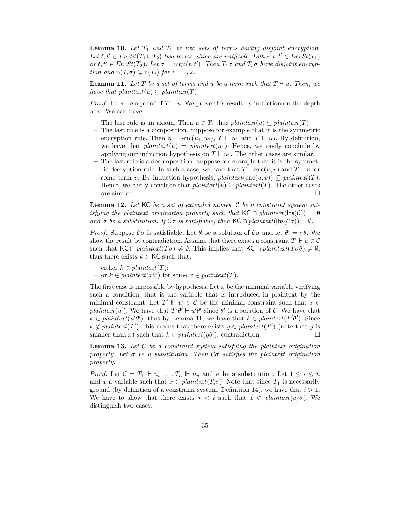**Lemma 10.** *Let T*<sup>1</sup> *and T*<sup>2</sup> *be two sets of terms having disjoint encryption. Let*  $t, t'$  ∈  $EncSt(T_1 ∪ T_2)$  *two terms which are unifiable. Either*  $t, t'$  ∈  $EncSt(T_1)$  $\sigma$ *t*,  $t' \in EncSt(T_2)$ *. Let*  $\sigma = \text{mgu}(t, t')$ *. Then*  $T_1\sigma$  *and*  $T_2\sigma$  *have disjoint encryption and*  $n(T_i \sigma) \subseteq n(T_i)$  *for*  $i = 1, 2$ *.* 

**Lemma 11.** *Let*  $T$  *be a set of terms and*  $u$  *be a term such that*  $T \vdash u$ *. Then, we have that plaintext* $(u) \subseteq$  *plaintext* $(T)$ *.* 

*Proof.* let  $\pi$  be a proof of  $T \vdash u$ . We prove this result by induction on the depth of  $\pi$ . We can have:

- **–** The last rule is an axiom. Then *u ∈ T*, thus *plaintext*(*u*) *⊆ plaintext*(*T*).
- **–** The last rule is a composition. Suppose for example that it is the symmetric encryption rule. Then  $u = \text{enc}(u_1, u_2)$ ,  $T \vdash u_1$  and  $T \vdash u_2$ . By definition, we have that  $plaintext(u) = plaintext(u_1)$ . Hence, we easily conclude by applying our induction hypothesis on  $T \vdash u_1$ . The other cases are similar.
- The last rule is a decomposition. Suppose for example that it is the symmetric decryption rule. In such a case, we have that  $T \vdash \text{enc}(u, v)$  and  $T \vdash v$  for some term *v*. By induction hypothesis,  $\text{plaintext}(\text{enc}(u, v)) \subseteq \text{plaintext}(T)$ . Hence, we easily conclude that  $\textit{plaintext}(u) \subseteq \textit{plaintext}(T)$ . The other cases are similar.  $\square$

**Lemma 12.** *Let* KC *be a set of extended names, C be a constraint system satisfying the plaintext origination property such that*  $\mathsf{KC} \cap \mathit{plaintext}(\mathsf{lls}(\mathcal{C})) = \emptyset$ *and*  $\sigma$  *be a substitution.* If  $C\sigma$  *is satisfiable, then* KC  $\cap$  *plaintext*(lhs( $C\sigma$ )) =  $\emptyset$ *.* 

*Proof.* Suppose  $C\sigma$  is satisfiable. Let  $\theta$  be a solution of  $C\sigma$  and let  $\theta' = \sigma\theta$ . We show the result by contradiction. Assume that there exists a constraint  $T \Vdash u \in \mathcal{C}$ such that  $\mathsf{KC} \cap \mathit{plaintext}(T\sigma) \neq \emptyset$ . This implies that  $\mathsf{KC} \cap \mathit{plaintext}(T\sigma\theta) \neq \emptyset$ , thus there exists  $k \in \text{KC}$  such that:

 $-$  or *k* ∈ *plaintext*(*xθ'*) for some *x* ∈ *plaintext*(*T*).

The first case is impossible by hypothesis. Let *x* be the minimal variable verifying such a condition, that is the variable that is introduced in plaintext by the minimal constraint. Let  $T' \Vdash u' \in \mathcal{C}$  be the minimal constraint such that  $x \in$ *plaintext*(*u*'). We have that  $T' \theta' \vdash u' \theta'$  since  $\theta'$  is a solution of *C*. We have that  $k \in plaintext(u'\theta')$ , thus by Lemma 11, we have that  $k \in plaintext(T'\theta')$ . Since  $k \notin plaintext(T')$ , this means that there exists  $y \in plaintext(T')$  (note that *y* is smaller than *x*) such that  $k \in plaintext(y\theta')$ , contradiction.

**Lemma 13.** *Let C be a constraint system satisfying the plaintext origination property. Let σ be a substitution. Then Cσ satisfies the plaintext origination property.*

*Proof.* Let  $C = T_1 \Vdash u_i, \ldots, T_n \Vdash u_n$  and  $\sigma$  be a substitution. Let  $1 \leq i \leq n$ and *x* a variable such that  $x \in plaintext(T_i\sigma)$ . Note that since  $T_1$  is necessarily ground (by definition of a constraint system, Definition 14), we have that  $i > 1$ . We have to show that there exists  $j < i$  such that  $x \in plaintext(u_i \sigma)$ . We distinguish two cases:

**<sup>–</sup>** either *k ∈ plaintext*(*T*);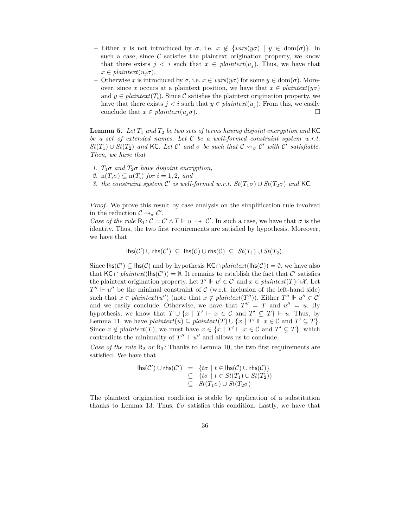- $-$  Either *x* is not introduced by *σ*, i.e. *x*  $\notin$  {*vars*(*yσ*) | *y* ∈ dom(*σ*)}. In such a case, since  $\mathcal C$  satisfies the plaintext origination property, we know that there exists  $j < i$  such that  $x \in plaintext(u_i)$ . Thus, we have that  $x \in plaintext(u_i \sigma)$ .
- **–** Otherwise *x* is introduced by *σ*, i.e. *x ∈ vars*(*yσ*) for some *y ∈* dom(*σ*). Moreover, since *x* occurs at a plaintext position, we have that  $x \in plaintext(y\sigma)$ and  $y \in plaintext(T_i)$ . Since C satisfies the plaintext origination property, we have that there exists  $j < i$  such that  $y \in plaintext(u_i)$ . From this, we easily conclude that  $x \in plaintext(u_i \sigma)$ .

**Lemma 5.** Let  $T_1$  and  $T_2$  be two sets of terms having disjoint encryption and KC *be a set of extended names. Let C be a well-formed constraint system w.r.t.*  $St(T_1) \cup St(T_2)$  *and* KC*. Let*  $\mathcal{C}'$  *and*  $\sigma$  *be such that*  $\mathcal{C} \leadsto_{\sigma} \mathcal{C}'$  *with*  $\mathcal{C}'$  *satisfiable. Then, we have that*

- *1.*  $T_1\sigma$  *and*  $T_2\sigma$  *have disjoint encryption,*
- 2.  $n(T_i \sigma) \subseteq n(T_i)$  *for*  $i = 1, 2$ *, and*
- *3. the constraint system*  $C'$  *is well-formed w.r.t.*  $St(T_1\sigma) \cup St(T_2\sigma)$  *and* KC.

*Proof.* We prove this result by case analysis on the simplification rule involved in the reduction  $C \leadsto_{\sigma} C'$ .

*Case of the rule*  $R_1: C = C' \wedge T \Vdash u \leadsto C'$ . In such a case, we have that  $\sigma$  is the identity. Thus, the two first requirements are satisfied by hypothesis. Moreover, we have that

$$
\mathsf{Ins}(\mathcal{C}') \cup \mathsf{rhs}(\mathcal{C}') \subseteq \mathsf{Ins}(\mathcal{C}) \cup \mathsf{rhs}(\mathcal{C}) \subseteq St(T_1) \cup St(T_2).
$$

Since  $\textsf{Ins}(\mathcal{C}') \subseteq \textsf{Ins}(\mathcal{C})$  and by hypothesis  $\textsf{KC} \cap \textit{plaintext}(\textsf{Ins}(\mathcal{C})) = \emptyset$ , we have also that  $\mathsf{KC} \cap \mathit{plaintext}(\mathsf{lls}(\mathcal{C}')) = \emptyset$ . It remains to establish the fact that  $\mathcal{C}'$  satisfies the plaintext origination property. Let  $T' \Vdash u' \in \mathcal{C}'$  and  $x \in plaintext(T) \cap \mathcal{X}$ . Let  $T'' \Vdash u''$  be the minimal constraint of *C* (w.r.t. inclusion of the left-hand side) such that  $x \in plaintext(u'')$  (note that  $x \notin plaintext(T'')$ ). Either  $T'' \Vdash u'' \in C'$ and we easily conclude. Otherwise, we have that  $T'' = T$  and  $u'' = u$ . By hypothesis, we know that  $T \cup \{x \mid T' \Vdash x \in C \text{ and } T' \subsetneq T\} \vdash u$ . Thus, by Lemma 11, we have  $\text{plaintext}(u) \subseteq \text{plaintext}(T) \cup \{x \mid T' \Vdash x \in \mathcal{C} \text{ and } T' \subsetneq T\}.$ Since  $x \notin plaintext(T)$ , we must have  $x \in \{x \mid T' \models x \in C \text{ and } T' \subsetneq T\}$ , which contradicts the minimality of  $T'' \Vdash u''$  and allows us to conclude.

*Case of the rule*  $R_2$  *or*  $R_3$ : Thanks to Lemma 10, the two first requirements are satisfied. We have that

$$
\begin{array}{rcl}\n\text{Ins}(\mathcal{C}') \cup \text{rhs}(\mathcal{C}') & = & \{ t \sigma \mid t \in \text{Ins}(\mathcal{C}) \cup \text{rhs}(\mathcal{C}) \} \\
& \subseteq & \{ t \sigma \mid t \in St(T_1) \cup St(T_2) \} \\
& \subseteq & St(T_1 \sigma) \cup St(T_2 \sigma)\n\end{array}
$$

The plaintext origination condition is stable by application of a substitution thanks to Lemma 13. Thus,  $\mathcal{C}\sigma$  satisfies this condition. Lastly, we have that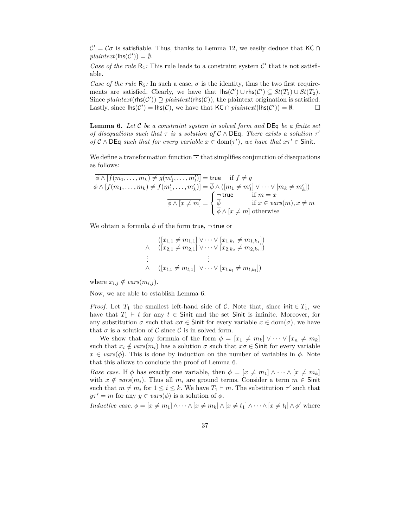$\mathcal{C}' = \mathcal{C}\sigma$  is satisfiable. Thus, thanks to Lemma 12, we easily deduce that KC  $\cap$  $plaintext(\text{lhs}(C')) = \emptyset.$ 

*Case of the rule*  $R_4$ : This rule leads to a constraint system  $C'$  that is not satisfiable.

*Case of the rule*  $R_5$ : In such a case,  $\sigma$  is the identity, thus the two first requirements are satisfied. Clearly, we have that  $\mathsf{Ins}(\mathcal{C}') \cup \mathsf{rhs}(\mathcal{C}') \subseteq St(T_1) \cup St(T_2)$ . Since  $plaintext(\text{rhs}(C')) \supseteq plaintext(\text{rhs}(C))$ , the plaintext origination is satisfied. Lastly, since  $\text{lns}(\mathcal{C}') = \text{lns}(\mathcal{C})$ , we have that  $\text{KC} \cap \text{plaintext}(\text{lns}(\mathcal{C}')) = \emptyset$ .

**Lemma 6.** *Let C be a constraint system in solved form and* DEq *be a finite set of disequations such that τ is a solution of C ∧* DEq*. There exists a solution τ ′ of*  $C \wedge DEq$  *such that for every variable*  $x \in \text{dom}(\tau')$ *, we have that*  $x\tau' \in$  Sinit.

We define a transformation function  $\overline{\cdot}$  that simplifies conjunction of disequations as follows:

$$
\frac{\phi \land [f(m_1, \dots, m_k) \neq g(m'_1, \dots, m'_k)]}{\phi \land [f(m_1, \dots, m_k) \neq f(m'_1, \dots, m'_k)]} = \frac{\text{true}}{\phi} \land (\boxed{m_1 \neq m'_1} \lor \dots \lor \boxed{m_k \neq m'_k})
$$
\n
$$
\frac{\phi \land [f(m_1, \dots, m_k) \neq f(m'_1, \dots, m'_k)]}{\phi \land [x \neq m]} = \begin{cases}\n\frac{\neg \text{true}}{\phi} & \text{if } m = x \\
\frac{\phi}{\phi} \land [x \neq m] & \text{otherwise}\n\end{cases}
$$

We obtain a formula  $\overline{\phi}$  of the form true,  $\neg$  true or

$$
([x_{1,1} \neq m_{1,1}] \vee \cdots \vee [x_{1,k_1} \neq m_{1,k_1}])
$$
  

$$
\wedge \quad ([x_{2,1} \neq m_{2,1}] \vee \cdots \vee [x_{2,k_2} \neq m_{2,k_2}])
$$
  

$$
\vdots \qquad \vdots
$$
  

$$
\wedge \quad ([x_{l,1} \neq m_{l,1}] \vee \cdots \vee [x_{l,k_l} \neq m_{l,k_l}])
$$

where  $x_{i,j} \notin vars(m_{i,j})$ .

Now, we are able to establish Lemma 6.

*Proof.* Let  $T_1$  the smallest left-hand side of *C*. Note that, since init  $\in T_1$ , we have that  $T_1 \vdash t$  for any  $t \in$  Sinit and the set Sinit is infinite. Moreover, for any substitution  $\sigma$  such that  $x\sigma \in$  Sinit for every variable  $x \in \text{dom}(\sigma)$ , we have that  $\sigma$  is a solution of  $\mathcal C$  since  $\mathcal C$  is in solved form.

We show that any formula of the form  $\phi = [x_1 \neq m_k] \vee \cdots \vee [x_n \neq m_k]$ such that  $x_i \notin vars(m_i)$  has a solution  $\sigma$  such that  $x\sigma \in$  Sinit for every variable  $x \in vars(\phi)$ . This is done by induction on the number of variables in  $\phi$ . Note that this allows to conclude the proof of Lemma 6.

*Base case.* If  $\phi$  has exactly one variable, then  $\phi = [x \neq m_1] \land \cdots \land [x \neq m_k]$ with  $x \notin vars(m_i)$ . Thus all  $m_i$  are ground terms. Consider a term  $m \in$  Sinit such that  $m \neq m_i$  for  $1 \leq i \leq k$ . We have  $T_1 \vdash m$ . The substitution  $\tau'$  such that  $y\tau' = m$  for any  $y \in vars(\phi)$  is a solution of  $\phi$ .

Inductive case.  $\phi = [x \neq m_1] \land \cdots \land [x \neq m_k] \land [x \neq t_1] \land \cdots \land [x \neq t_l] \land \phi'$  where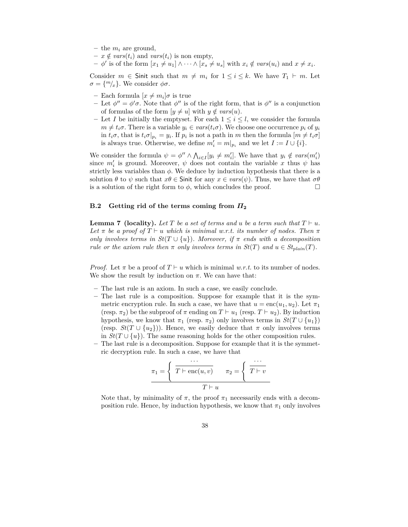- **–** the *m<sup>i</sup>* are ground,
- $x \notin vars(t_i)$  and  $vars(t_i)$  is non empty,

 $-\phi'$  is of the form  $[x_1 \neq u_1] \wedge \cdots \wedge [x_s \neq u_s]$  with  $x_i \notin vars(u_i)$  and  $x \neq x_i$ .

Consider  $m \in$  Sinit such that  $m \neq m_i$  for  $1 \leq i \leq k$ . We have  $T_1 \vdash m$ . Let  $\sigma = \{m/x\}$ . We consider  $\phi\sigma$ .

- $-$  Each formula  $[x \neq m_i]\sigma$  is true
- **−** Let  $φ'' = φ'σ$ . Note that  $φ''$  is of the right form, that is  $φ''$  is a conjunction of formulas of the form  $[y \neq u]$  with  $y \notin vars(u)$ .
- Let *I* be initially the emptyset. For each  $1 \leq i \leq l$ , we consider the formula  $m \neq t_i$ *σ*. There is a variable  $y_i \in vars(t_i \sigma)$ . We choose one occurrence  $p_i$  of  $y_i$ in  $t_i \sigma$ , that is  $t_i \sigma|_{p_i} = y_i$ . If  $p_i$  is not a path in *m* then the formula  $[m \neq t_i \sigma]$ is always true. Otherwise, we define  $m'_i = m|_{p_i}$  and we let  $I := I \cup \{i\}$ .

We consider the formula  $\psi = \phi'' \wedge \bigwedge_{i \in I} [y_i \neq m'_i]$ . We have that  $y_i \notin vars(m'_i)$ since  $m'_i$  is ground. Moreover,  $\psi$  does not contain the variable x thus  $\psi$  has strictly less variables than  $\phi$ . We deduce by induction hypothesis that there is a solution  $\theta$  to  $\psi$  such that  $x\theta \in$  Sinit for any  $x \in vars(\psi)$ . Thus, we have that  $\sigma\theta$ is a solution of the right form to  $\phi$ , which concludes the proof.

# **B.2 Getting rid of the terms coming from** *Π***<sup>2</sup>**

**Lemma 7 (locality).** Let T be a set of terms and *u* be a term such that  $T \vdash u$ . Let  $\pi$  be a proof of  $T \vdash u$  which is minimal w.r.t. its number of nodes. Then  $\pi$ *only involves terms in*  $St(T \cup \{u\})$ *. Moreover, if*  $\pi$  *ends with a decomposition rule or the axiom rule then*  $\pi$  *only involves terms in*  $St(T)$  *and*  $u \in St_{plain}(T)$ *.* 

*Proof.* Let  $\pi$  be a proof of  $T \vdash u$  which is minimal  $w.r.t.$  to its number of nodes. We show the result by induction on  $\pi$ . We can have that:

- **–** The last rule is an axiom. In such a case, we easily conclude.
- **–** The last rule is a composition. Suppose for example that it is the symmetric encryption rule. In such a case, we have that  $u = \text{enc}(u_1, u_2)$ . Let  $\pi_1$ (resp.  $\pi_2$ ) be the subproof of  $\pi$  ending on  $T \vdash u_1$  (resp.  $T \vdash u_2$ ). By induction hypothesis, we know that  $\pi_1$  (resp.  $\pi_2$ ) only involves terms in  $St(T \cup \{u_1\})$ (resp.  $St(T \cup \{u_2\})$ ). Hence, we easily deduce that  $\pi$  only involves terms in  $St(T \cup \{u\})$ . The same reasoning holds for the other composition rules.
- **–** The last rule is a decomposition. Suppose for example that it is the symmetric decryption rule. In such a case, we have that

$$
\pi_1 = \begin{cases} \n\frac{\cdots}{T \vdash \text{enc}(u, v)} & \pi_2 = \begin{cases} \n\frac{\cdots}{T \vdash v} \\
T \vdash u\n\end{cases} \n\end{cases}
$$

Note that, by minimality of  $\pi$ , the proof  $\pi_1$  necessarily ends with a decomposition rule. Hence, by induction hypothesis, we know that  $\pi_1$  only involves